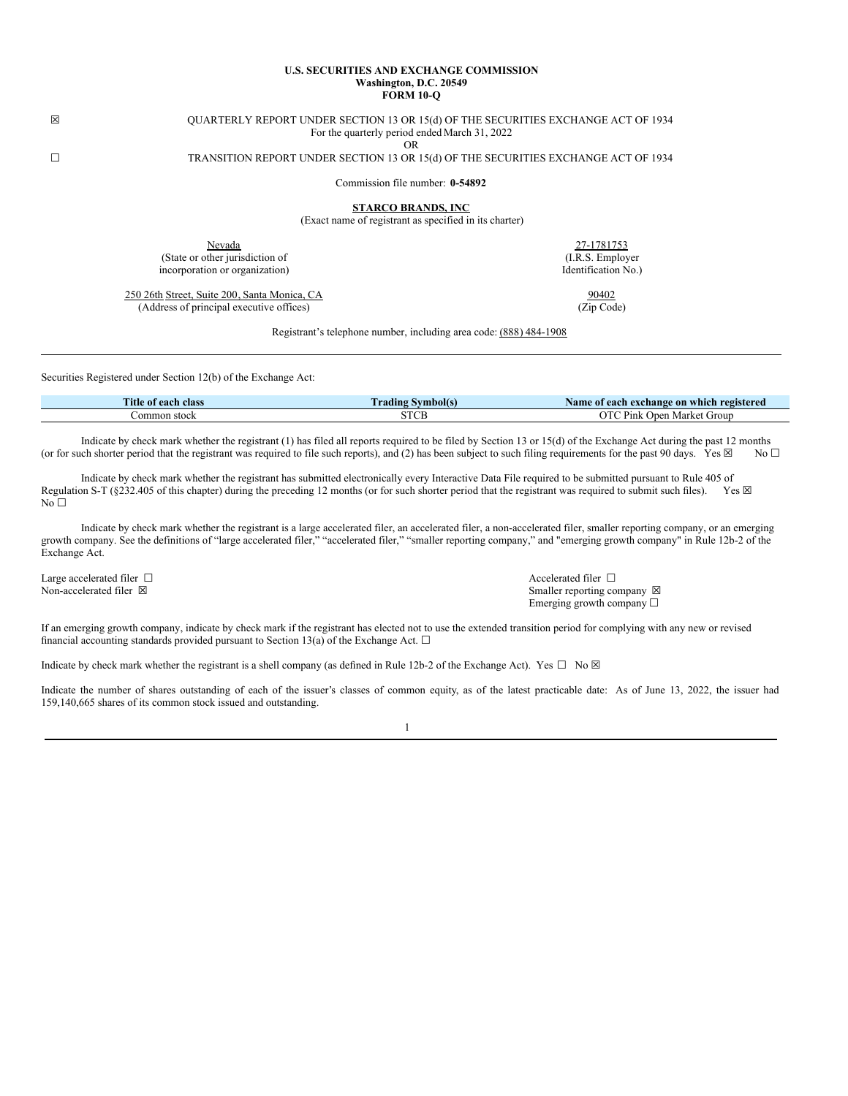#### **U.S. SECURITIES AND EXCHANGE COMMISSION Washington, D.C. 20549 FORM 10-Q**

# ☒ QUARTERLY REPORT UNDER SECTION 13 OR 15(d) OF THE SECURITIES EXCHANGE ACT OF 1934 For the quarterly period ended March 31, 2022

OR

# ☐ TRANSITION REPORT UNDER SECTION 13 OR 15(d) OF THE SECURITIES EXCHANGE ACT OF 1934

Commission file number: **0-54892**

**STARCO BRANDS, INC**

(Exact name of registrant as specified in its charter)

Nevada 27-1781753 (State or other jurisdiction of incorporation or organization)

250 26th Street, Suite 200, Santa Monica, CA (Address of principal executive offices)

(I.R.S. Employer Identification No.)

> 90402 (Zip Code)

Registrant's telephone number, including area code: (888) 484-1908

Securities Registered under Section 12(b) of the Exchange Act:

| <b>Title</b><br>ot each<br><b>class</b> | $\sim$<br>vmbolís<br>rading | registered<br>Name<br>each exchange on v<br>which |
|-----------------------------------------|-----------------------------|---------------------------------------------------|
| .ommon<br>. stock                       | CTCT                        | $\cap$ T<br>≌ink<br>Group<br>rke.<br>∵ IVI⇔       |

Indicate by check mark whether the registrant (1) has filed all reports required to be filed by Section 13 or 15(d) of the Exchange Act during the past 12 months (or for such shorter period that the registrant was required to file such reports), and (2) has been subject to such filing requirements for the past 90 days. Yes  $\boxtimes$  No  $\Box$ 

Indicate by check mark whether the registrant has submitted electronically every Interactive Data File required to be submitted pursuant to Rule 405 of this chapter) during the preceding 12 months (or for such shorter per Regulation S-T ( $§232.405$  of this chapter) during the preceding 12 months (or for such shorter period that the registrant was required to submit such files).  $No<sub>1</sub>$ 

Indicate by check mark whether the registrant is a large accelerated filer, an accelerated filer, a non-accelerated filer, smaller reporting company, or an emerging growth company. See the definitions of "large accelerated filer," "accelerated filer," "smaller reporting company," and "emerging growth company" in Rule 12b-2 of the Exchange Act.

Large accelerated filer  $□$ <br>
Non-accelerated filer  $□$ <br>
Non-accelerated filer  $□$ <br>
Smaller renorting co

Smaller reporting company  $\boxtimes$ Emerging growth company  $\Box$ 

If an emerging growth company, indicate by check mark if the registrant has elected not to use the extended transition period for complying with any new or revised financial accounting standards provided pursuant to Section 13(a) of the Exchange Act.  $\Box$ 

Indicate by check mark whether the registrant is a shell company (as defined in Rule 12b-2 of the Exchange Act). Yes  $\Box$  No  $\boxtimes$ 

Indicate the number of shares outstanding of each of the issuer's classes of common equity, as of the latest practicable date: As of June 13, 2022, the issuer had 159,140,665 shares of its common stock issued and outstanding.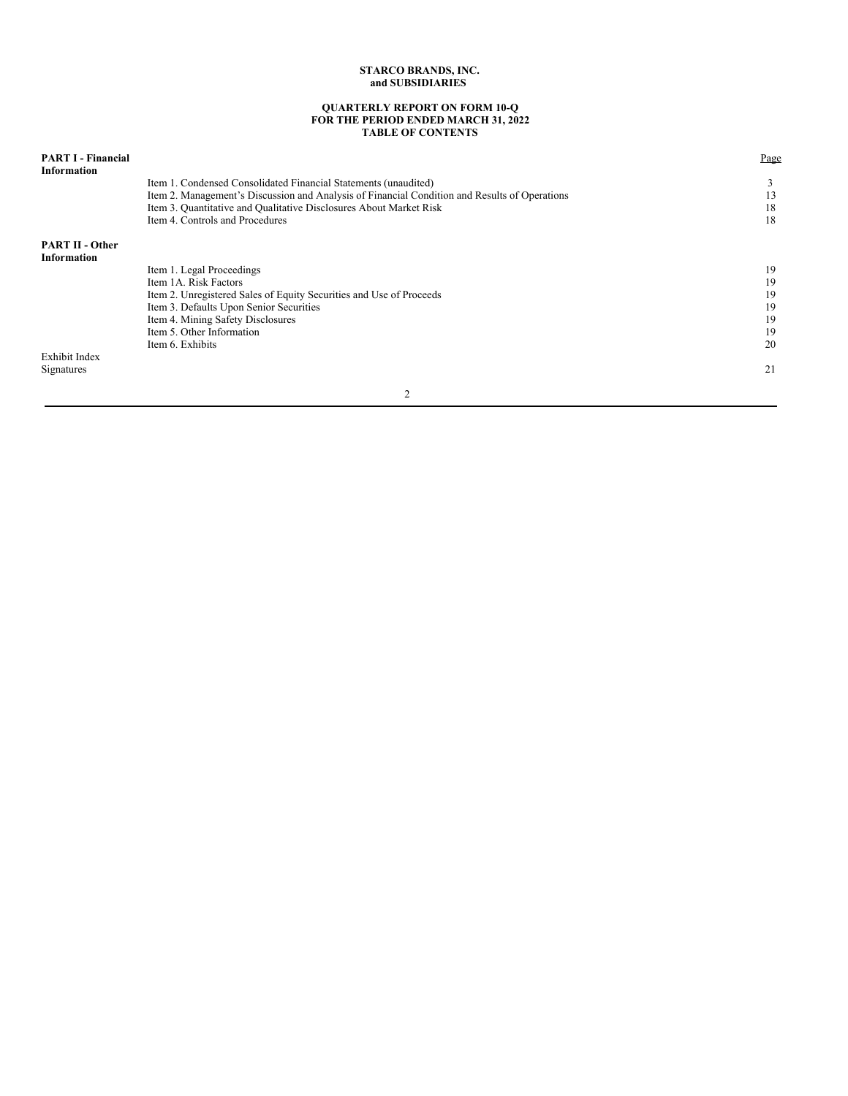#### **QUARTERLY REPORT ON FORM 10-Q FOR THE PERIOD ENDED MARCH 31, 2022 TABLE OF CONTENTS**

| <b>PART I - Financial</b><br><b>Information</b> |                                                                                               | Page |
|-------------------------------------------------|-----------------------------------------------------------------------------------------------|------|
|                                                 | Item 1. Condensed Consolidated Financial Statements (unaudited)                               |      |
|                                                 | Item 2. Management's Discussion and Analysis of Financial Condition and Results of Operations | 13   |
|                                                 | Item 3. Quantitative and Qualitative Disclosures About Market Risk                            | 18   |
|                                                 | Item 4. Controls and Procedures                                                               | 18   |
| <b>PART II - Other</b>                          |                                                                                               |      |
| <b>Information</b>                              |                                                                                               |      |
|                                                 | Item 1. Legal Proceedings                                                                     | 19   |
|                                                 | Item 1A. Risk Factors                                                                         | 19   |
|                                                 | Item 2. Unregistered Sales of Equity Securities and Use of Proceeds                           | 19   |
|                                                 | Item 3. Defaults Upon Senior Securities                                                       | 19   |
|                                                 | Item 4. Mining Safety Disclosures                                                             | 19   |
|                                                 | Item 5. Other Information                                                                     | 19   |
|                                                 | Item 6. Exhibits                                                                              | 20   |
| <b>Exhibit Index</b>                            |                                                                                               |      |
| Signatures                                      |                                                                                               | 21   |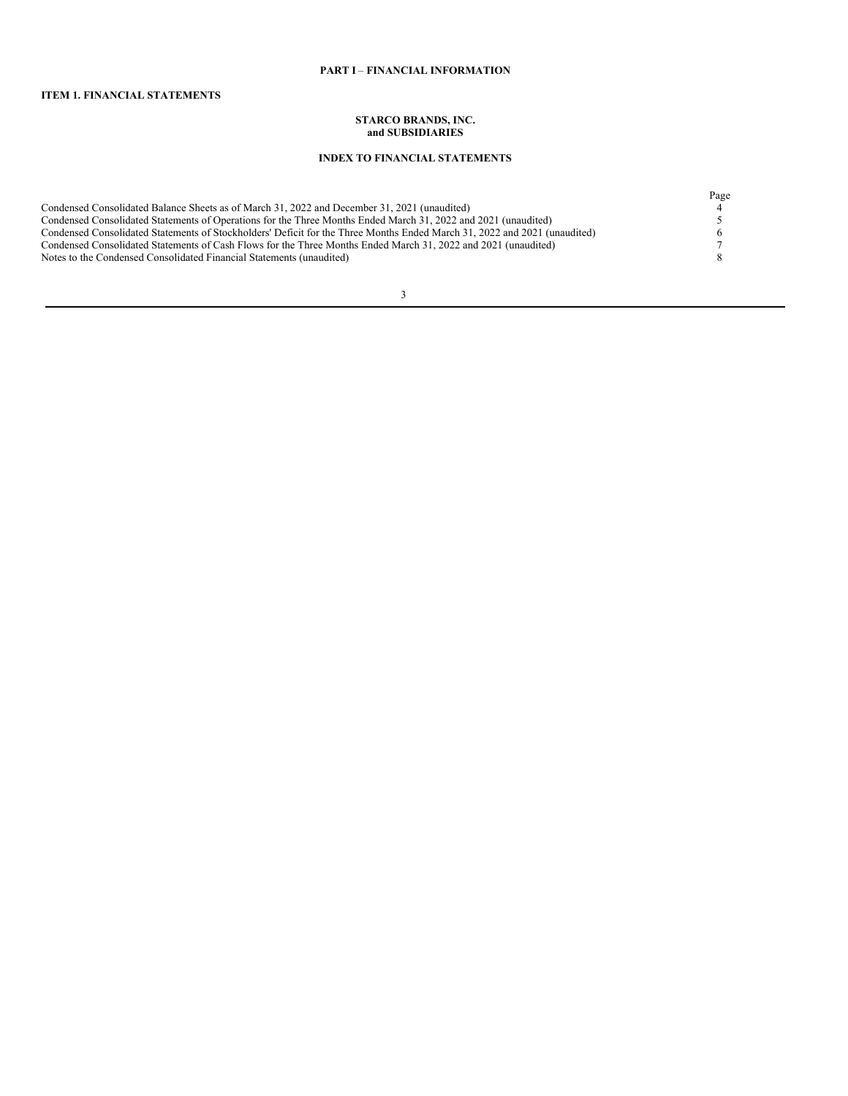# **PART I** – **FINANCIAL INFORMATION**

# **ITEM 1. FINANCIAL STATEMENTS**

#### **STARCO BRANDS, INC. and SUBSIDIARIES**

# **INDEX TO FINANCIAL STATEMENTS**

|                                                                                                                           | Page |
|---------------------------------------------------------------------------------------------------------------------------|------|
| Condensed Consolidated Balance Sheets as of March 31, 2022 and December 31, 2021 (unaudited)                              |      |
| Condensed Consolidated Statements of Operations for the Three Months Ended March 31, 2022 and 2021 (unaudited)            |      |
| Condensed Consolidated Statements of Stockholders' Deficit for the Three Months Ended March 31, 2022 and 2021 (unaudited) |      |
| Condensed Consolidated Statements of Cash Flows for the Three Months Ended March 31, 2022 and 2021 (unaudited)            |      |
| Notes to the Condensed Consolidated Financial Statements (unaudited)                                                      |      |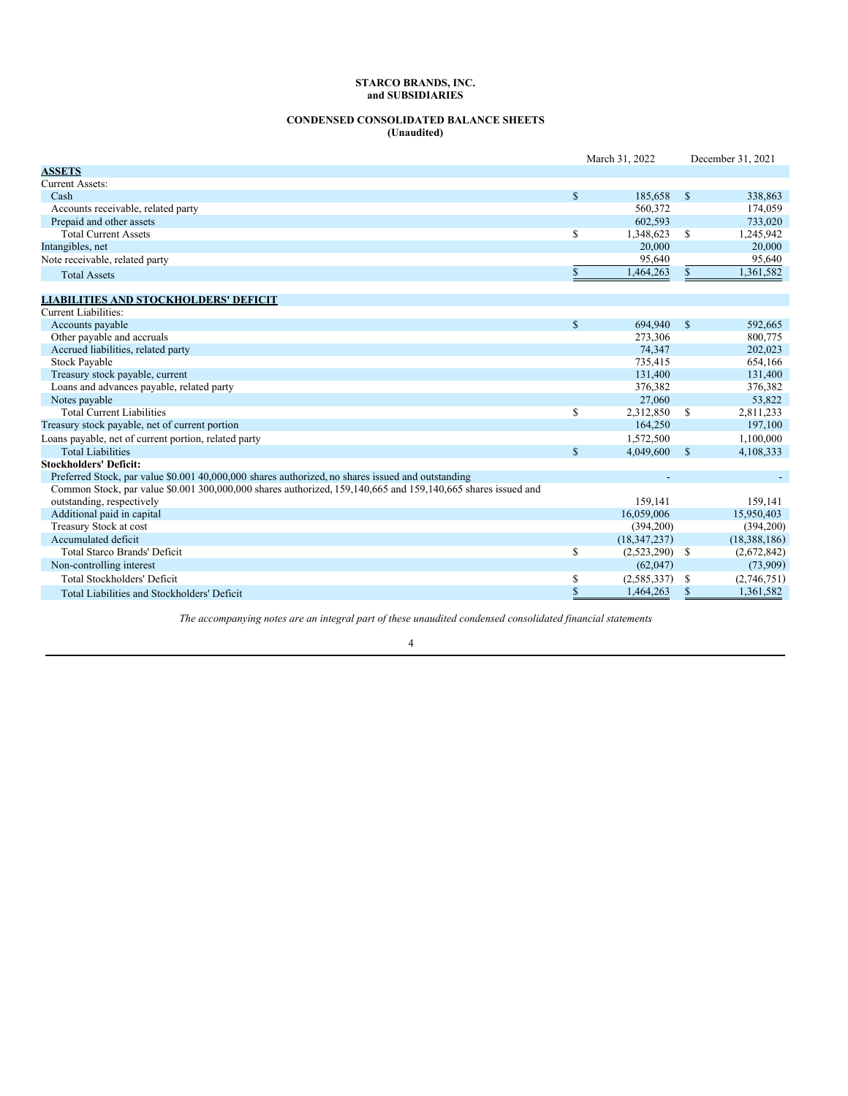# **CONDENSED CONSOLIDATED BALANCE SHEETS (Unaudited)**

|                                                                                                              |             | March 31, 2022   |              | December 31, 2021 |
|--------------------------------------------------------------------------------------------------------------|-------------|------------------|--------------|-------------------|
| <b>ASSETS</b>                                                                                                |             |                  |              |                   |
| Current Assets:                                                                                              |             |                  |              |                   |
| Cash                                                                                                         | <b>S</b>    | 185,658          | <sup>S</sup> | 338,863           |
| Accounts receivable, related party                                                                           |             | 560,372          |              | 174,059           |
| Prepaid and other assets                                                                                     |             | 602,593          |              | 733,020           |
| <b>Total Current Assets</b>                                                                                  | \$          | 1,348,623        | <sup>S</sup> | 1,245,942         |
| Intangibles, net                                                                                             |             | 20,000           |              | 20,000            |
| Note receivable, related party                                                                               |             | 95.640           |              | 95,640            |
| <b>Total Assets</b>                                                                                          | \$          | 1,464,263        | \$.          | 1,361,582         |
| <b>LIABILITIES AND STOCKHOLDERS' DEFICIT</b>                                                                 |             |                  |              |                   |
| <b>Current Liabilities:</b>                                                                                  |             |                  |              |                   |
| Accounts payable                                                                                             | $\mathbf S$ | 694.940          | <sup>S</sup> | 592.665           |
| Other payable and accruals                                                                                   |             | 273,306          |              | 800,775           |
| Accrued liabilities, related party                                                                           |             | 74.347           |              | 202,023           |
| <b>Stock Payable</b>                                                                                         |             | 735,415          |              | 654,166           |
| Treasury stock payable, current                                                                              |             | 131,400          |              | 131,400           |
| Loans and advances payable, related party                                                                    |             | 376,382          |              | 376,382           |
| Notes payable                                                                                                |             | 27,060           |              | 53,822            |
| <b>Total Current Liabilities</b>                                                                             | S           | 2,312,850        | <sup>S</sup> | 2,811,233         |
| Treasury stock payable, net of current portion                                                               |             | 164,250          |              | 197,100           |
| Loans payable, net of current portion, related party                                                         |             | 1,572,500        |              | 1,100,000         |
| <b>Total Liabilities</b>                                                                                     | $\mathbf S$ | 4,049,600        | $\mathbf S$  | 4,108,333         |
| <b>Stockholders' Deficit:</b>                                                                                |             |                  |              |                   |
| Preferred Stock, par value \$0,001 40,000,000 shares authorized, no shares issued and outstanding            |             |                  |              |                   |
| Common Stock, par value \$0.001 300,000,000 shares authorized, 159,140,665 and 159,140,665 shares issued and |             |                  |              |                   |
| outstanding, respectively                                                                                    |             | 159,141          |              | 159,141           |
| Additional paid in capital                                                                                   |             | 16.059.006       |              | 15,950,403        |
| Treasury Stock at cost                                                                                       |             | (394,200)        |              | (394,200)         |
| Accumulated deficit                                                                                          |             | (18, 347, 237)   |              | (18, 388, 186)    |
| <b>Total Starco Brands' Deficit</b>                                                                          | \$          | $(2,523,290)$ \$ |              | (2,672,842)       |
| Non-controlling interest                                                                                     |             | (62,047)         |              | (73,909)          |
| <b>Total Stockholders' Deficit</b>                                                                           | \$          | (2,585,337)      | S            | (2,746,751)       |
| Total Liabilities and Stockholders' Deficit                                                                  | \$          | 1,464,263        | \$           | 1,361,582         |

*The accompanying notes are an integral part of these unaudited condensed consolidated financial statements*.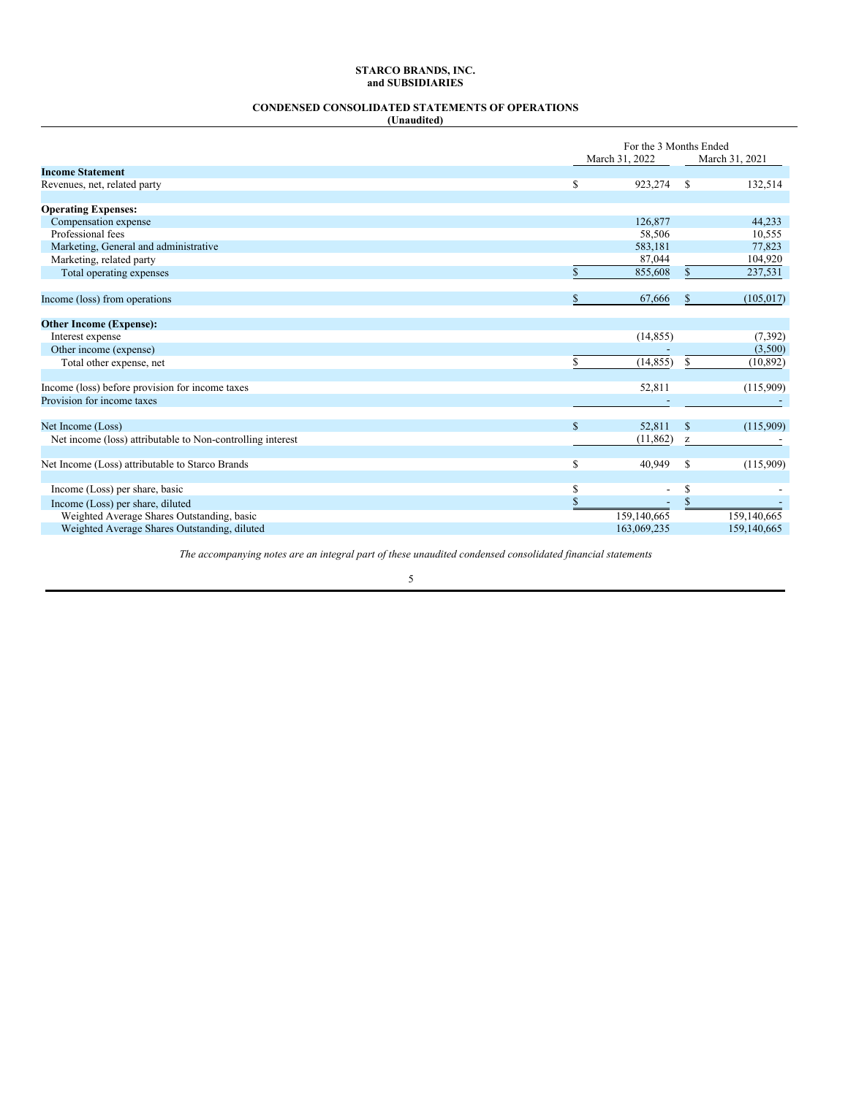# **CONDENSED CONSOLIDATED STATEMENTS OF OPERATIONS**

|--|

|                                                            |              | For the 3 Months Ended   |              |                |
|------------------------------------------------------------|--------------|--------------------------|--------------|----------------|
|                                                            |              | March 31, 2022           |              | March 31, 2021 |
| <b>Income Statement</b>                                    |              |                          |              |                |
| Revenues, net, related party                               | \$           | 923,274                  | S            | 132,514        |
|                                                            |              |                          |              |                |
| <b>Operating Expenses:</b>                                 |              |                          |              | 44,233         |
| Compensation expense<br>Professional fees                  |              | 126,877<br>58,506        |              | 10,555         |
| Marketing, General and administrative                      |              | 583,181                  |              | 77,823         |
|                                                            |              | 87,044                   |              | 104,920        |
| Marketing, related party                                   | \$.          | 855,608                  | $\mathbb{S}$ | 237,531        |
| Total operating expenses                                   |              |                          |              |                |
| Income (loss) from operations                              | $\mathbb{S}$ | 67,666                   | \$           | (105, 017)     |
|                                                            |              |                          |              |                |
| <b>Other Income (Expense):</b>                             |              |                          |              |                |
| Interest expense                                           |              | (14, 855)                |              | (7, 392)       |
| Other income (expense)                                     |              |                          |              | (3,500)        |
| Total other expense, net                                   | $\mathbb{S}$ | (14, 855)                | S            | (10, 892)      |
|                                                            |              |                          |              |                |
| Income (loss) before provision for income taxes            |              | 52,811                   |              | (115,909)      |
| Provision for income taxes                                 |              |                          |              |                |
|                                                            |              |                          |              |                |
| Net Income (Loss)                                          | $\mathbb{S}$ | 52,811                   | $\mathbb{S}$ | (115,909)      |
| Net income (loss) attributable to Non-controlling interest |              | (11, 862)                | z            |                |
|                                                            |              |                          |              |                |
| Net Income (Loss) attributable to Starco Brands            | \$           | 40,949                   | S            | (115,909)      |
|                                                            |              |                          |              |                |
| Income (Loss) per share, basic                             | \$           | $\overline{\phantom{a}}$ | \$           |                |
| Income (Loss) per share, diluted                           | $\mathbf{s}$ | $\overline{\phantom{a}}$ | $\mathbf{s}$ |                |
| Weighted Average Shares Outstanding, basic                 |              | 159,140,665              |              | 159,140,665    |
| Weighted Average Shares Outstanding, diluted               |              | 163,069,235              |              | 159,140,665    |

*The accompanying notes are an integral part of these unaudited condensed consolidated financial statements*.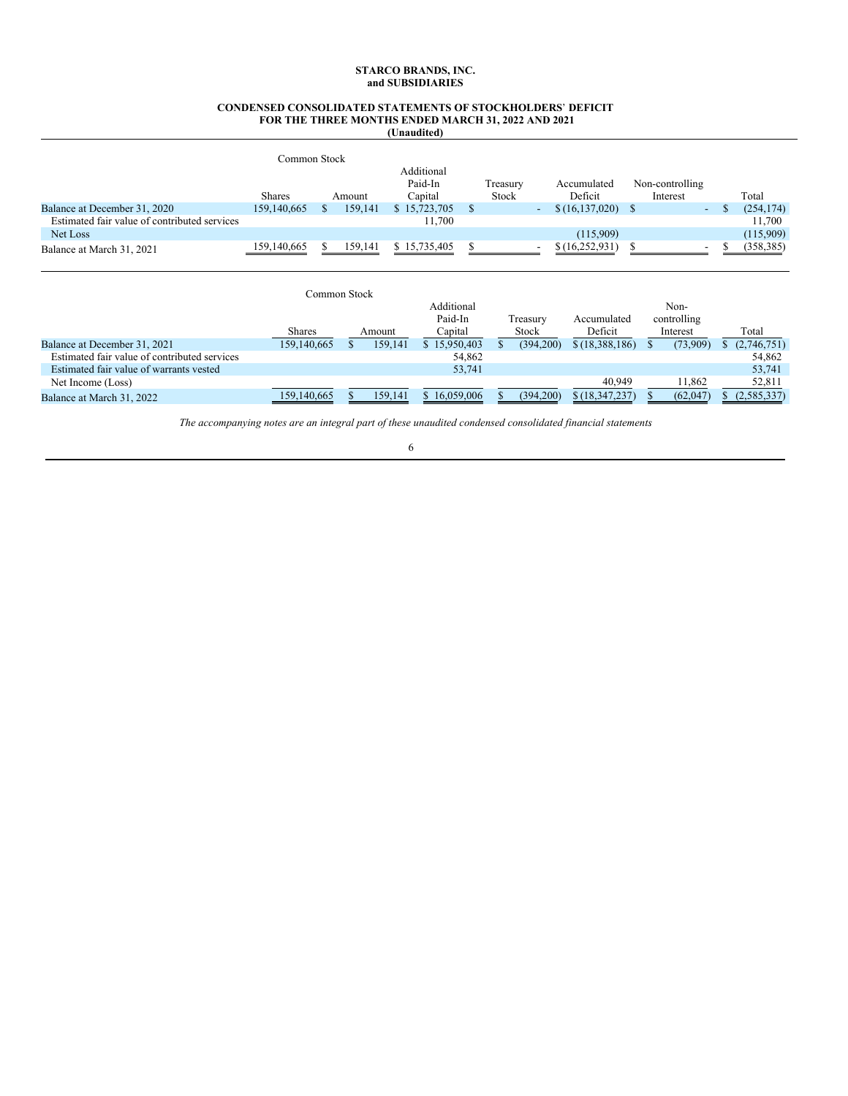### **CONDENSED CONSOLIDATED STATEMENTS OF STOCKHOLDERS**' **DEFICIT FOR THE THREE MONTHS ENDED MARCH 31, 2022 AND 2021 (Unaudited)**

|                                              | Common Stock  |         |                                  |                   |                          |                        |                             |                          |            |
|----------------------------------------------|---------------|---------|----------------------------------|-------------------|--------------------------|------------------------|-----------------------------|--------------------------|------------|
|                                              | <b>Shares</b> | Amount  | Additional<br>Paid-In<br>Capital | Treasury<br>Stock |                          | Accumulated<br>Deficit | Non-controlling<br>Interest |                          | Total      |
| Balance at December 31, 2020                 | 159,140,665   | 159,141 | \$15,723,705                     |                   | $\overline{\phantom{a}}$ | \$(16, 137, 020)       |                             | $\sim$                   | (254, 174) |
| Estimated fair value of contributed services |               |         | 11,700                           |                   |                          |                        |                             |                          | 11,700     |
| Net Loss                                     |               |         |                                  |                   |                          | (115,909)              |                             |                          | (115,909)  |
| Balance at March 31, 2021                    | 159,140,665   | 159,141 | \$15,735,405                     |                   | $\overline{\phantom{a}}$ | \$(16,252,931)         |                             | $\overline{\phantom{0}}$ | (358, 385) |

|                                              | Common Stock  |         |              |           |                  |             |               |
|----------------------------------------------|---------------|---------|--------------|-----------|------------------|-------------|---------------|
|                                              |               |         | Additional   |           |                  | Non-        |               |
|                                              |               |         | Paid-In      | Treasury  | Accumulated      | controlling |               |
|                                              | <b>Shares</b> | Amount  | Capital      | Stock     | Deficit          | Interest    | Total         |
| Balance at December 31, 2021                 | 159,140,665   | 159,141 | \$15,950,403 | (394,200) | \$(18,388,186)   | (73,909)    | (2,746,751)   |
| Estimated fair value of contributed services |               |         | 54.862       |           |                  |             | 54.862        |
| Estimated fair value of warrants vested      |               |         | 53.741       |           |                  |             | 53,741        |
| Net Income (Loss)                            |               |         |              |           | 40.949           | 11,862      | 52,811        |
| Balance at March 31, 2022                    | 159,140,665   | 159,141 | \$16,059,006 | (394,200) | \$(18, 347, 237) | (62,047)    | (2, 585, 337) |

*The accompanying notes are an integral part of these unaudited condensed consolidated financial statements*.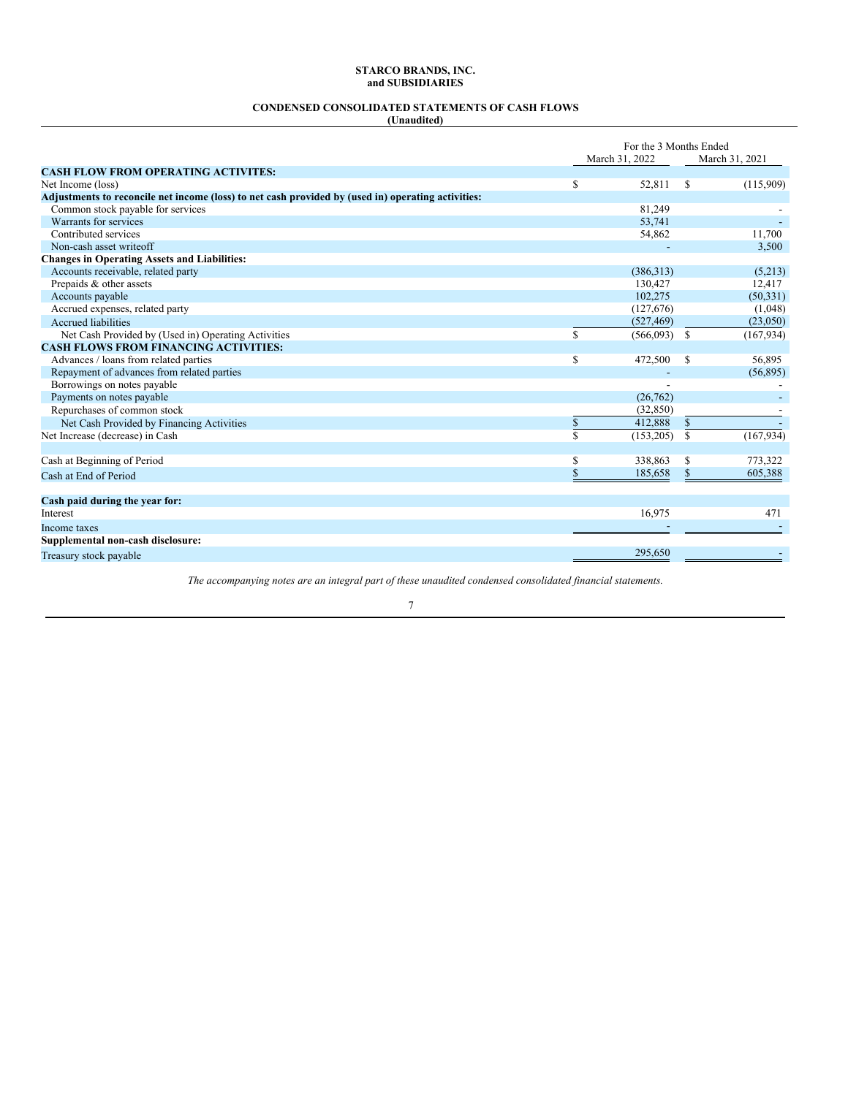# **CONDENSED CONSOLIDATED STATEMENTS OF CASH FLOWS**

|--|

J.

|                                                                                                    | For the 3 Months Ended |                |              |                |  |  |
|----------------------------------------------------------------------------------------------------|------------------------|----------------|--------------|----------------|--|--|
|                                                                                                    |                        | March 31, 2022 |              | March 31, 2021 |  |  |
| <b>CASH FLOW FROM OPERATING ACTIVITES:</b>                                                         |                        |                |              |                |  |  |
| Net Income (loss)                                                                                  | S                      | 52,811         | S            | (115,909)      |  |  |
| Adjustments to reconcile net income (loss) to net cash provided by (used in) operating activities: |                        |                |              |                |  |  |
| Common stock payable for services                                                                  |                        | 81,249         |              |                |  |  |
| Warrants for services                                                                              |                        | 53,741         |              |                |  |  |
| Contributed services                                                                               |                        | 54,862         |              | 11,700         |  |  |
| Non-cash asset writeoff                                                                            |                        |                |              | 3,500          |  |  |
| <b>Changes in Operating Assets and Liabilities:</b>                                                |                        |                |              |                |  |  |
| Accounts receivable, related party                                                                 |                        | (386,313)      |              | (5,213)        |  |  |
| Prepaids & other assets                                                                            |                        | 130,427        |              | 12,417         |  |  |
| Accounts payable                                                                                   |                        | 102,275        |              | (50, 331)      |  |  |
| Accrued expenses, related party                                                                    |                        | (127,676)      |              | (1,048)        |  |  |
| <b>Accrued liabilities</b>                                                                         |                        | (527, 469)     |              | (23,050)       |  |  |
| Net Cash Provided by (Used in) Operating Activities                                                | S.                     | $(566,093)$ \$ |              | (167, 934)     |  |  |
| <b>CASH FLOWS FROM FINANCING ACTIVITIES:</b>                                                       |                        |                |              |                |  |  |
| Advances / loans from related parties                                                              | S                      | 472,500        | -S           | 56,895         |  |  |
| Repayment of advances from related parties                                                         |                        |                |              | (56, 895)      |  |  |
| Borrowings on notes payable                                                                        |                        |                |              |                |  |  |
| Payments on notes payable                                                                          |                        | (26, 762)      |              |                |  |  |
| Repurchases of common stock                                                                        |                        | (32, 850)      |              |                |  |  |
| Net Cash Provided by Financing Activities                                                          | \$                     | 412,888        | $\mathbb{S}$ |                |  |  |
| Net Increase (decrease) in Cash                                                                    | \$.                    | (153, 205)     | <sup>S</sup> | (167, 934)     |  |  |
|                                                                                                    |                        |                |              |                |  |  |
| Cash at Beginning of Period                                                                        | \$                     | 338,863        | S            | 773,322        |  |  |
| Cash at End of Period                                                                              | S                      | 185,658        | S            | 605,388        |  |  |
|                                                                                                    |                        |                |              |                |  |  |
| Cash paid during the year for:                                                                     |                        |                |              |                |  |  |
| Interest                                                                                           |                        | 16,975         |              | 471            |  |  |
| Income taxes                                                                                       |                        |                |              |                |  |  |
| Supplemental non-cash disclosure:                                                                  |                        |                |              |                |  |  |
| Treasury stock payable                                                                             |                        | 295.650        |              |                |  |  |

*The accompanying notes are an integral part of these unaudited condensed consolidated financial statements.*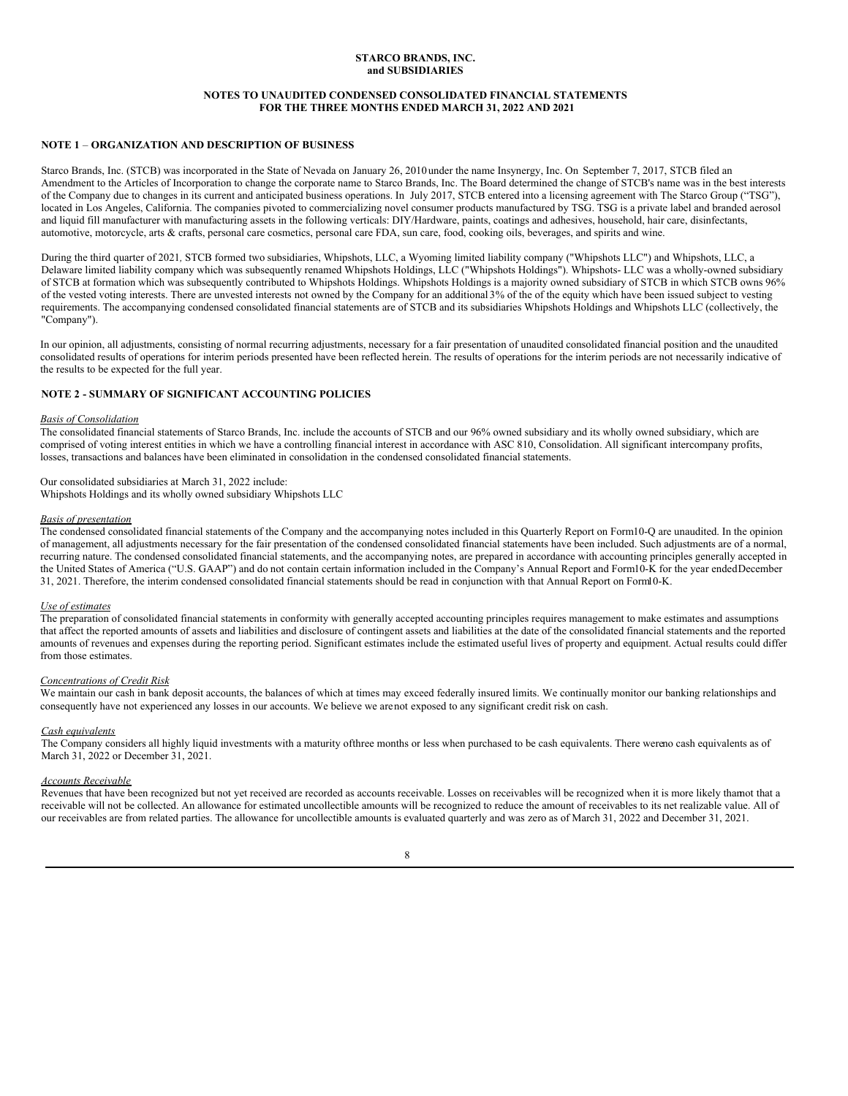### **NOTES TO UNAUDITED CONDENSED CONSOLIDATED FINANCIAL STATEMENTS FOR THE THREE MONTHS ENDED MARCH 31, 2022 AND 2021**

### **NOTE 1** – **ORGANIZATION AND DESCRIPTION OF BUSINESS**

Starco Brands, Inc. (STCB) was incorporated in the State of Nevada on January 26, 2010 under the name Insynergy, Inc. On September 7, 2017, STCB filed an Amendment to the Articles of Incorporation to change the corporate name to Starco Brands, Inc. The Board determined the change of STCB's name was in the best interests of the Company due to changes in its current and anticipated business operations. In July 2017, STCB entered into a licensing agreement with The Starco Group ("TSG"), located in Los Angeles, California. The companies pivoted to commercializing novel consumer products manufactured by TSG. TSG is a private label and branded aerosol and liquid fill manufacturer with manufacturing assets in the following verticals: DIY/Hardware, paints, coatings and adhesives, household, hair care, disinfectants, automotive, motorcycle, arts & crafts, personal care cosmetics, personal care FDA, sun care, food, cooking oils, beverages, and spirits and wine.

During the third quarter of 2021*,* STCB formed two subsidiaries, Whipshots, LLC, a Wyoming limited liability company ("Whipshots LLC") and Whipshots, LLC, a Delaware limited liability company which was subsequently renamed Whipshots Holdings, LLC ("Whipshots Holdings"). Whipshots- LLC was a wholly-owned subsidiary of STCB at formation which was subsequently contributed to Whipshots Holdings. Whipshots Holdings is a majority owned subsidiary of STCB in which STCB owns 96% of the vested voting interests. There are unvested interests not owned by the Company for an additional 3% of the of the equity which have been issued subject to vesting requirements. The accompanying condensed consolidated financial statements are of STCB and its subsidiaries Whipshots Holdings and Whipshots LLC (collectively, the "Company").

In our opinion, all adjustments, consisting of normal recurring adjustments, necessary for a fair presentation of unaudited consolidated financial position and the unaudited consolidated results of operations for interim periods presented have been reflected herein. The results of operations for the interim periods are not necessarily indicative of the results to be expected for the full year.

# **NOTE 2 - SUMMARY OF SIGNIFICANT ACCOUNTING POLICIES**

#### *Basis of Consolidation*

The consolidated financial statements of Starco Brands, Inc. include the accounts of STCB and our 96% owned subsidiary and its wholly owned subsidiary, which are comprised of voting interest entities in which we have a controlling financial interest in accordance with ASC 810, Consolidation. All significant intercompany profits, losses, transactions and balances have been eliminated in consolidation in the condensed consolidated financial statements.

### Our consolidated subsidiaries at March 31, 2022 include:

Whipshots Holdings and its wholly owned subsidiary Whipshots LLC

# *Basis of presentation*

The condensed consolidated financial statements of the Company and the accompanying notes included in this Quarterly Report on Form10-Q are unaudited. In the opinion of management, all adjustments necessary for the fair presentation of the condensed consolidated financial statements have been included. Such adjustments are of a normal, recurring nature. The condensed consolidated financial statements, and the accompanying notes, are prepared in accordance with accounting principles generally accepted in the United States of America ("U.S. GAAP") and do not contain certain information included in the Company's Annual Report and Form10-K for the year endedDecember 31, 2021. Therefore, the interim condensed consolidated financial statements should be read in conjunction with that Annual Report on Form10-K.

#### *Use of estimates*

The preparation of consolidated financial statements in conformity with generally accepted accounting principles requires management to make estimates and assumptions that affect the reported amounts of assets and liabilities and disclosure of contingent assets and liabilities at the date of the consolidated financial statements and the reported amounts of revenues and expenses during the reporting period. Significant estimates include the estimated useful lives of property and equipment. Actual results could differ from those estimates.

#### *Concentrations of Credit Risk*

We maintain our cash in bank deposit accounts, the balances of which at times may exceed federally insured limits. We continually monitor our banking relationships and consequently have not experienced any losses in our accounts. We believe we arenot exposed to any significant credit risk on cash.

#### *Cash equivalents*

The Company considers all highly liquid investments with a maturity ofthree months or less when purchased to be cash equivalents. There wereno cash equivalents as of March 31, 2022 or December 31, 2021.

#### *Accounts Receivable*

Revenues that have been recognized but not yet received are recorded as accounts receivable. Losses on receivables will be recognized when it is more likely thannot that a receivable will not be collected. An allowance for estimated uncollectible amounts will be recognized to reduce the amount of receivables to its net realizable value. All of our receivables are from related parties. The allowance for uncollectible amounts is evaluated quarterly and was zero as of March 31, 2022 and December 31, 2021.

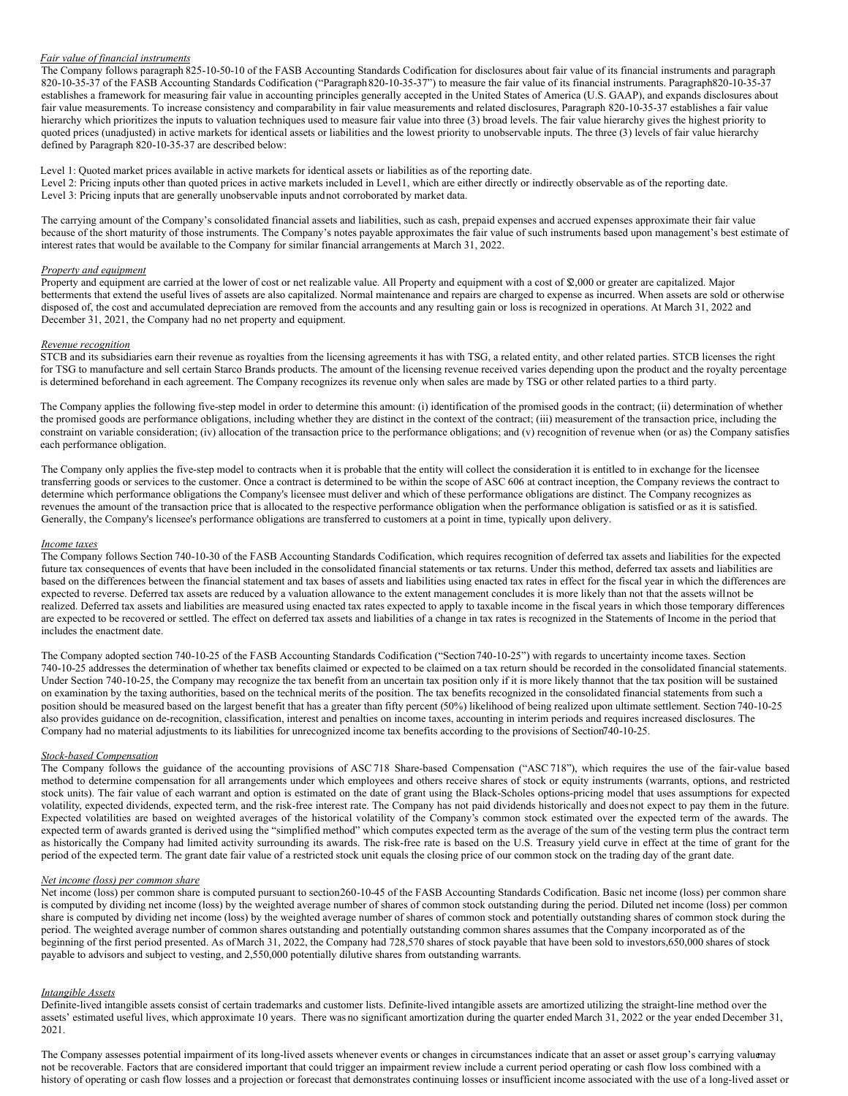#### *Fair value of financial instruments*

The Company follows paragraph 825-10-50-10 of the FASB Accounting Standards Codification for disclosures about fair value of its financial instruments and paragraph 820-10-35-37 of the FASB Accounting Standards Codification ("Paragraph820-10-35-37") to measure the fair value of its financial instruments. Paragraph820-10-35-37 establishes a framework for measuring fair value in accounting principles generally accepted in the United States of America (U.S. GAAP), and expands disclosures about fair value measurements. To increase consistency and comparability in fair value measurements and related disclosures, Paragraph 820-10-35-37 establishes a fair value hierarchy which prioritizes the inputs to valuation techniques used to measure fair value into three (3) broad levels. The fair value hierarchy gives the highest priority to quoted prices (unadjusted) in active markets for identical assets or liabilities and the lowest priority to unobservable inputs. The three (3) levels of fair value hierarchy defined by Paragraph 820-10-35-37 are described below:

Level 1: Quoted market prices available in active markets for identical assets or liabilities as of the reporting date. Level 2: Pricing inputs other than quoted prices in active markets included in Level1, which are either directly or indirectly observable as of the reporting date. Level 3: Pricing inputs that are generally unobservable inputs andnot corroborated by market data.

The carrying amount of the Company's consolidated financial assets and liabilities, such as cash, prepaid expenses and accrued expenses approximate their fair value because of the short maturity of those instruments. The Company's notes payable approximates the fair value of such instruments based upon management's best estimate of interest rates that would be available to the Company for similar financial arrangements at March 31, 2022.

#### *Property and equipment*

Property and equipment are carried at the lower of cost or net realizable value. All Property and equipment with a cost of \$2,000 or greater are capitalized. Major betterments that extend the useful lives of assets are also capitalized. Normal maintenance and repairs are charged to expense as incurred. When assets are sold or otherwise disposed of, the cost and accumulated depreciation are removed from the accounts and any resulting gain or loss is recognized in operations. At March 31, 2022 and December 31, 2021, the Company had no net property and equipment.

#### *Revenue recognition*

STCB and its subsidiaries earn their revenue as royalties from the licensing agreements it has with TSG, a related entity, and other related parties. STCB licenses the right for TSG to manufacture and sell certain Starco Brands products. The amount of the licensing revenue received varies depending upon the product and the royalty percentage is determined beforehand in each agreement. The Company recognizes its revenue only when sales are made by TSG or other related parties to a third party.

The Company applies the following five-step model in order to determine this amount: (i) identification of the promised goods in the contract; (ii) determination of whether the promised goods are performance obligations, including whether they are distinct in the context of the contract; (iii) measurement of the transaction price, including the constraint on variable consideration; (iv) allocation of the transaction price to the performance obligations; and (v) recognition of revenue when (or as) the Company satisfies each performance obligation.

The Company only applies the five-step model to contracts when it is probable that the entity will collect the consideration it is entitled to in exchange for the licensee transferring goods or services to the customer. Once a contract is determined to be within the scope of ASC 606 at contract inception, the Company reviews the contract to determine which performance obligations the Company's licensee must deliver and which of these performance obligations are distinct. The Company recognizes as revenues the amount of the transaction price that is allocated to the respective performance obligation when the performance obligation is satisfied or as it is satisfied. Generally, the Company's licensee's performance obligations are transferred to customers at a point in time, typically upon delivery.

#### *Income taxes*

The Company follows Section 740-10-30 of the FASB Accounting Standards Codification, which requires recognition of deferred tax assets and liabilities for the expected future tax consequences of events that have been included in the consolidated financial statements or tax returns. Under this method, deferred tax assets and liabilities are based on the differences between the financial statement and tax bases of assets and liabilities using enacted tax rates in effect for the fiscal year in which the differences are expected to reverse. Deferred tax assets are reduced by a valuation allowance to the extent management concludes it is more likely than not that the assets willnot be realized. Deferred tax assets and liabilities are measured using enacted tax rates expected to apply to taxable income in the fiscal years in which those temporary differences are expected to be recovered or settled. The effect on deferred tax assets and liabilities of a change in tax rates is recognized in the Statements of Income in the period that includes the enactment date.

The Company adopted section 740-10-25 of the FASB Accounting Standards Codification ("Section740-10-25") with regards to uncertainty income taxes. Section 740-10-25 addresses the determination of whether tax benefits claimed or expected to be claimed on a tax return should be recorded in the consolidated financial statements. Under Section 740-10-25, the Company may recognize the tax benefit from an uncertain tax position only if it is more likely thannot that the tax position will be sustained on examination by the taxing authorities, based on the technical merits of the position. The tax benefits recognized in the consolidated financial statements from such a position should be measured based on the largest benefit that has a greater than fifty percent (50%) likelihood of being realized upon ultimate settlement. Section 740-10-25 also provides guidance on de-recognition, classification, interest and penalties on income taxes, accounting in interim periods and requires increased disclosures. The Company had no material adjustments to its liabilities for unrecognized income tax benefits according to the provisions of Section740-10-25.

#### *Stock-based Compensation*

The Company follows the guidance of the accounting provisions of ASC718 Share-based Compensation ("ASC 718"), which requires the use of the fair-value based method to determine compensation for all arrangements under which employees and others receive shares of stock or equity instruments (warrants, options, and restricted stock units). The fair value of each warrant and option is estimated on the date of grant using the Black-Scholes options-pricing model that uses assumptions for expected volatility, expected dividends, expected term, and the risk-free interest rate. The Company has not paid dividends historically and does not expect to pay them in the future. Expected volatilities are based on weighted averages of the historical volatility of the Company's common stock estimated over the expected term of the awards. The expected term of awards granted is derived using the "simplified method" which computes expected term as the average of the sum of the vesting term plus the contract term as historically the Company had limited activity surrounding its awards. The risk-free rate is based on the U.S. Treasury yield curve in effect at the time of grant for the period of the expected term. The grant date fair value of a restricted stock unit equals the closing price of our common stock on the trading day of the grant date.

# *Net income (loss) per common share*

Net income (loss) per common share is computed pursuant to section260-10-45 of the FASB Accounting Standards Codification. Basic net income (loss) per common share is computed by dividing net income (loss) by the weighted average number of shares of common stock outstanding during the period. Diluted net income (loss) per common share is computed by dividing net income (loss) by the weighted average number of shares of common stock and potentially outstanding shares of common stock during the period. The weighted average number of common shares outstanding and potentially outstanding common shares assumes that the Company incorporated as of the beginning of the first period presented. As ofMarch 31, 2022, the Company had 728,570 shares of stock payable that have been sold to investors,650,000 shares of stock payable to advisors and subject to vesting, and 2,550,000 potentially dilutive shares from outstanding warrants.

#### *Intangible Assets*

Definite-lived intangible assets consist of certain trademarks and customer lists. Definite-lived intangible assets are amortized utilizing the straight-line method over the assets' estimated useful lives, which approximate 10 years. There was no significant amortization during the quarter ended March 31, 2022 or the year ended December 31, 2021.

The Company assesses potential impairment of its long-lived assets whenever events or changes in circumstances indicate that an asset or asset group's carrying valuemay not be recoverable. Factors that are considered important that could trigger an impairment review include a current period operating or cash flow loss combined with a history of operating or cash flow losses and a projection or forecast that demonstrates continuing losses or insufficient income associated with the use of a long-lived asset or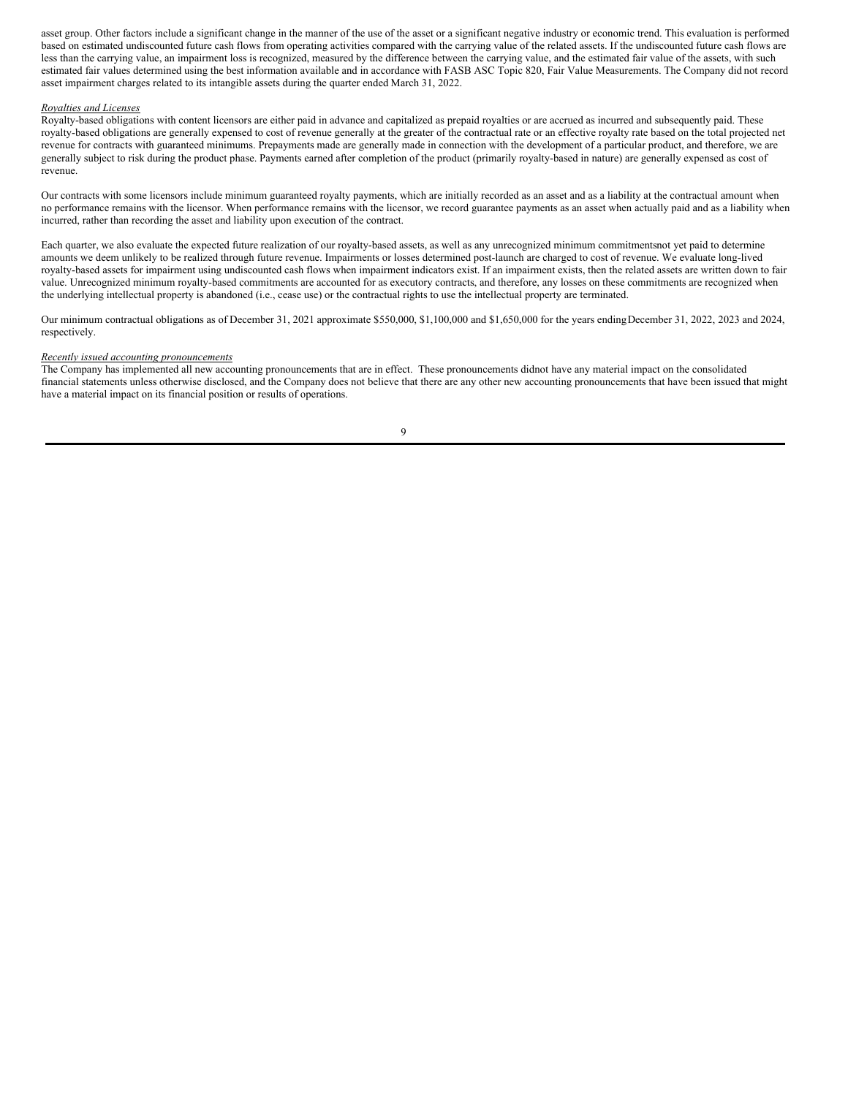asset group. Other factors include a significant change in the manner of the use of the asset or a significant negative industry or economic trend. This evaluation is performed based on estimated undiscounted future cash flows from operating activities compared with the carrying value of the related assets. If the undiscounted future cash flows are less than the carrying value, an impairment loss is recognized, measured by the difference between the carrying value, and the estimated fair value of the assets, with such estimated fair values determined using the best information available and in accordance with FASB ASC Topic 820, Fair Value Measurements. The Company did not record asset impairment charges related to its intangible assets during the quarter ended March 31, 2022.

### *Royalties and Licenses*

Royalty-based obligations with content licensors are either paid in advance and capitalized as prepaid royalties or are accrued as incurred and subsequently paid. These royalty-based obligations are generally expensed to cost of revenue generally at the greater of the contractual rate or an effective royalty rate based on the total projected net revenue for contracts with guaranteed minimums. Prepayments made are generally made in connection with the development of a particular product, and therefore, we are generally subject to risk during the product phase. Payments earned after completion of the product (primarily royalty-based in nature) are generally expensed as cost of revenue.

Our contracts with some licensors include minimum guaranteed royalty payments, which are initially recorded as an asset and as a liability at the contractual amount when no performance remains with the licensor. When performance remains with the licensor, we record guarantee payments as an asset when actually paid and as a liability when incurred, rather than recording the asset and liability upon execution of the contract.

Each quarter, we also evaluate the expected future realization of our royalty-based assets, as well as any unrecognized minimum commitmentsnot yet paid to determine amounts we deem unlikely to be realized through future revenue. Impairments or losses determined post-launch are charged to cost of revenue. We evaluate long-lived royalty-based assets for impairment using undiscounted cash flows when impairment indicators exist. If an impairment exists, then the related assets are written down to fair value. Unrecognized minimum royalty-based commitments are accounted for as executory contracts, and therefore, any losses on these commitments are recognized when the underlying intellectual property is abandoned (i.e., cease use) or the contractual rights to use the intellectual property are terminated.

Our minimum contractual obligations as of December 31, 2021 approximate \$550,000, \$1,100,000 and \$1,650,000 for the years endingDecember 31, 2022, 2023 and 2024, respectively.

### *Recently issued accounting pronouncements*

The Company has implemented all new accounting pronouncements that are in effect. These pronouncements didnot have any material impact on the consolidated financial statements unless otherwise disclosed, and the Company does not believe that there are any other new accounting pronouncements that have been issued that might have a material impact on its financial position or results of operations.

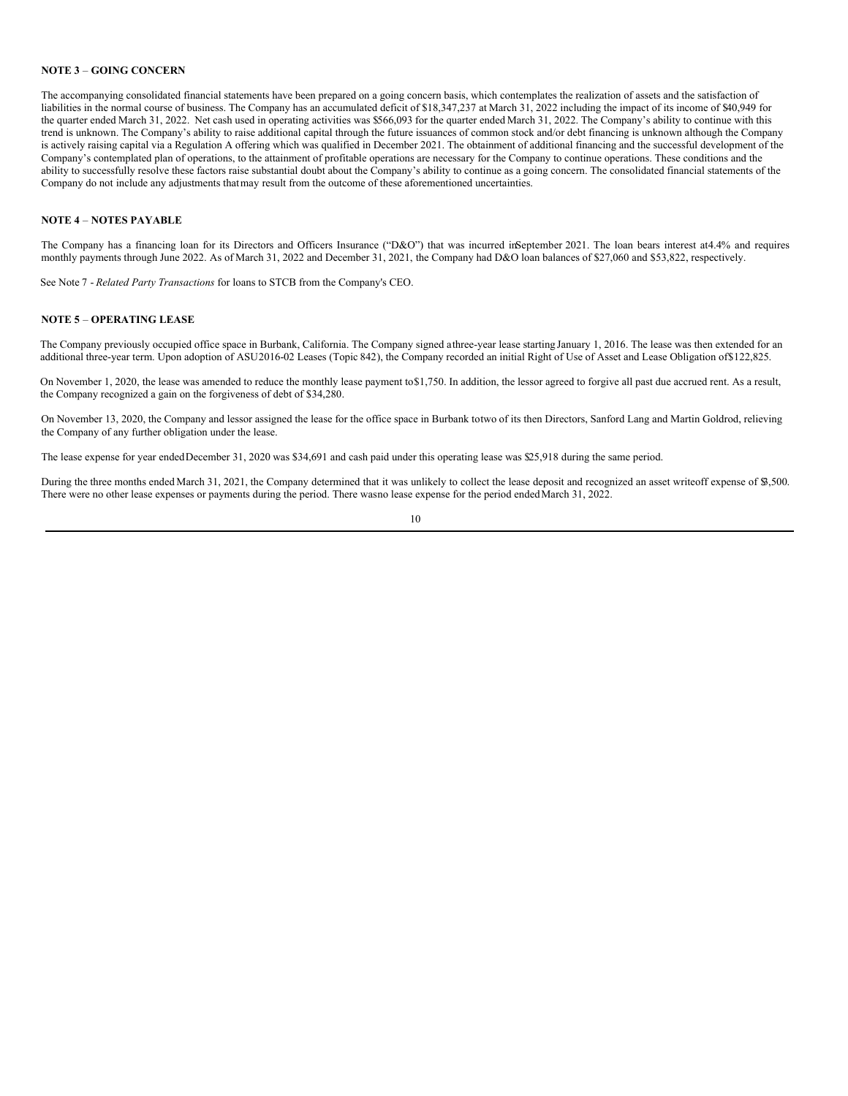# **NOTE 3** – **GOING CONCERN**

The accompanying consolidated financial statements have been prepared on a going concern basis, which contemplates the realization of assets and the satisfaction of liabilities in the normal course of business. The Company has an accumulated deficit of \$18,347,237 at March 31, 2022 including the impact of its income of \$40,949 for the quarter ended March 31, 2022. Net cash used in operating activities was \$566,093 for the quarter ended March 31, 2022. The Company's ability to continue with this trend is unknown. The Company's ability to raise additional capital through the future issuances of common stock and/or debt financing is unknown although the Company is actively raising capital via a Regulation A offering which was qualified in December 2021. The obtainment of additional financing and the successful development of the Company's contemplated plan of operations, to the attainment of profitable operations are necessary for the Company to continue operations. These conditions and the ability to successfully resolve these factors raise substantial doubt about the Company's ability to continue as a going concern. The consolidated financial statements of the Company do not include any adjustments thatmay result from the outcome of these aforementioned uncertainties.

# **NOTE 4** – **NOTES PAYABLE**

The Company has a financing loan for its Directors and Officers Insurance ("D&O") that was incurred inSeptember 2021. The loan bears interest at4.4% and requires monthly payments through June 2022. As of March 31, 2022 and December 31, 2021, the Company had D&O loan balances of \$27,060 and \$53,822, respectively.

See Note 7 - *Related Party Transactions* for loans to STCB from the Company's CEO.

### **NOTE 5** – **OPERATING LEASE**

The Company previously occupied office space in Burbank, California. The Company signed athree-year lease starting January 1, 2016. The lease was then extended for an additional three-year term. Upon adoption of ASU2016-02 Leases (Topic 842), the Company recorded an initial Right of Use of Asset and Lease Obligation of\$122,825.

On November 1, 2020, the lease was amended to reduce the monthly lease payment to\$1,750. In addition, the lessor agreed to forgive all past due accrued rent. As a result, the Company recognized a gain on the forgiveness of debt of \$34,280.

On November 13, 2020, the Company and lessor assigned the lease for the office space in Burbank totwo of its then Directors, Sanford Lang and Martin Goldrod, relieving the Company of any further obligation under the lease.

The lease expense for year endedDecember 31, 2020 was \$34,691 and cash paid under this operating lease was \$25,918 during the same period.

During the three months ended March 31, 2021, the Company determined that it was unlikely to collect the lease deposit and recognized an asset writeoff expense of \$3,500. There were no other lease expenses or payments during the period. There wasno lease expense for the period endedMarch 31, 2022.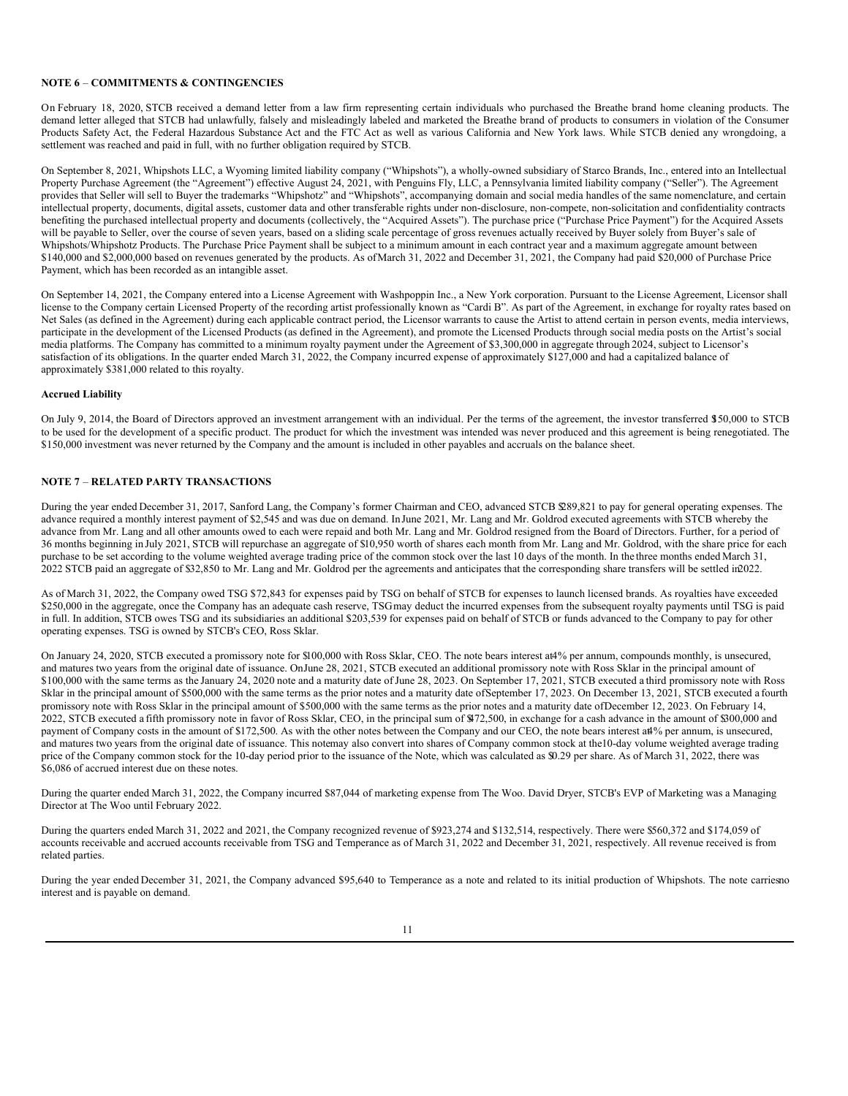### **NOTE 6** – **COMMITMENTS & CONTINGENCIES**

On February 18, 2020, STCB received a demand letter from a law firm representing certain individuals who purchased the Breathe brand home cleaning products. The demand letter alleged that STCB had unlawfully, falsely and misleadingly labeled and marketed the Breathe brand of products to consumers in violation of the Consumer Products Safety Act, the Federal Hazardous Substance Act and the FTC Act as well as various California and New York laws. While STCB denied any wrongdoing, a settlement was reached and paid in full, with no further obligation required by STCB.

On September 8, 2021, Whipshots LLC, a Wyoming limited liability company ("Whipshots"), a wholly-owned subsidiary of Starco Brands, Inc., entered into an Intellectual Property Purchase Agreement (the "Agreement") effective August 24, 2021, with Penguins Fly, LLC, a Pennsylvania limited liability company ("Seller"). The Agreement provides that Seller will sell to Buyer the trademarks "Whipshotz" and "Whipshots", accompanying domain and social media handles of the same nomenclature, and certain intellectual property, documents, digital assets, customer data and other transferable rights under non-disclosure, non-compete, non-solicitation and confidentiality contracts benefiting the purchased intellectual property and documents (collectively, the "Acquired Assets"). The purchase price ("Purchase Price Payment") for the Acquired Assets will be payable to Seller, over the course of seven years, based on a sliding scale percentage of gross revenues actually received by Buyer solely from Buyer's sale of Whipshots/Whipshotz Products. The Purchase Price Payment shall be subject to a minimum amount in each contract year and a maximum aggregate amount between \$140,000 and \$2,000,000 based on revenues generated by the products. As ofMarch 31, 2022 and December 31, 2021, the Company had paid \$20,000 of Purchase Price Payment, which has been recorded as an intangible asset.

On September 14, 2021, the Company entered into a License Agreement with Washpoppin Inc., a New York corporation. Pursuant to the License Agreement, Licensor shall license to the Company certain Licensed Property of the recording artist professionally known as "Cardi B". As part of the Agreement, in exchange for royalty rates based on Net Sales (as defined in the Agreement) during each applicable contract period, the Licensor warrants to cause the Artist to attend certain in person events, media interviews, participate in the development of the Licensed Products (as defined in the Agreement), and promote the Licensed Products through social media posts on the Artist's social media platforms. The Company has committed to a minimum royalty payment under the Agreement of \$3,300,000 in aggregate through 2024, subject to Licensor's satisfaction of its obligations. In the quarter ended March 31, 2022, the Company incurred expense of approximately \$127,000 and had a capitalized balance of approximately \$381,000 related to this royalty.

### **Accrued Liability**

On July 9, 2014, the Board of Directors approved an investment arrangement with an individual. Per the terms of the agreement, the investor transferred \$150,000 to STCB to be used for the development of a specific product. The product for which the investment was intended was never produced and this agreement is being renegotiated. The \$150,000 investment was never returned by the Company and the amount is included in other payables and accruals on the balance sheet.

### **NOTE 7** – **RELATED PARTY TRANSACTIONS**

During the year ended December 31, 2017, Sanford Lang, the Company's former Chairman and CEO, advanced STCB \$289,821 to pay for general operating expenses. The advance required a monthly interest payment of \$2,545 and was due on demand. In June 2021, Mr. Lang and Mr. Goldrod executed agreements with STCB whereby the advance from Mr. Lang and all other amounts owed to each were repaid and both Mr. Lang and Mr. Goldrod resigned from the Board of Directors. Further, for a period of 36 months beginning in July 2021, STCB will repurchase an aggregate of \$10,950 worth of shares each month from Mr. Lang and Mr. Goldrod, with the share price for each purchase to be set according to the volume weighted average trading price of the common stock over the last 10 days of the month. In the three months ended March 31, 2022 STCB paid an aggregate of \$32,850 to Mr. Lang and Mr. Goldrod per the agreements and anticipates that the corresponding share transfers will be settled in2022.

As of March 31, 2022, the Company owed TSG \$72,843 for expenses paid by TSG on behalf of STCB for expenses to launch licensed brands. As royalties have exceeded \$250,000 in the aggregate, once the Company has an adequate cash reserve, TSGmay deduct the incurred expenses from the subsequent royalty payments until TSG is paid in full. In addition, STCB owes TSG and its subsidiaries an additional \$203,539 for expenses paid on behalf of STCB or funds advanced to the Company to pay for other operating expenses. TSG is owned by STCB's CEO, Ross Sklar.

On January 24, 2020, STCB executed a promissory note for \$100,000 with Ross Sklar, CEO. The note bears interest at4% per annum, compounds monthly, is unsecured, and matures two years from the original date of issuance. OnJune 28, 2021, STCB executed an additional promissory note with Ross Sklar in the principal amount of \$100,000 with the same terms as the January 24, 2020 note and a maturity date of June 28, 2023. On September 17, 2021, STCB executed a third promissory note with Ross Sklar in the principal amount of \$500,000 with the same terms as the prior notes and a maturity date ofSeptember 17, 2023. On December 13, 2021, STCB executed a fourth promissory note with Ross Sklar in the principal amount of \$500,000 with the same terms as the prior notes and a maturity date ofDecember 12, 2023. On February 14, 2022, STCB executed a fifth promissory note in favor of Ross Sklar, CEO, in the principal sum of \$472,500, in exchange for a cash advance in the amount of \$300,000 and payment of Company costs in the amount of \$172,500. As with the other notes between the Company and our CEO, the note bears interest at4% per annum, is unsecured, and matures two years from the original date of issuance. This notemay also convert into shares of Company common stock at the10-day volume weighted average trading price of the Company common stock for the 10-day period prior to the issuance of the Note, which was calculated as \$0.29 per share. As of March 31, 2022, there was \$6,086 of accrued interest due on these notes.

During the quarter ended March 31, 2022, the Company incurred \$87,044 of marketing expense from The Woo. David Dryer, STCB's EVP of Marketing was a Managing Director at The Woo until February 2022.

During the quarters ended March 31, 2022 and 2021, the Company recognized revenue of \$923,274 and \$132,514, respectively. There were \$560,372 and \$174,059 of accounts receivable and accrued accounts receivable from TSG and Temperance as of March 31, 2022 and December 31, 2021, respectively. All revenue received is from related parties.

During the year ended December 31, 2021, the Company advanced \$95,640 to Temperance as a note and related to its initial production of Whipshots. The note carriesno interest and is payable on demand.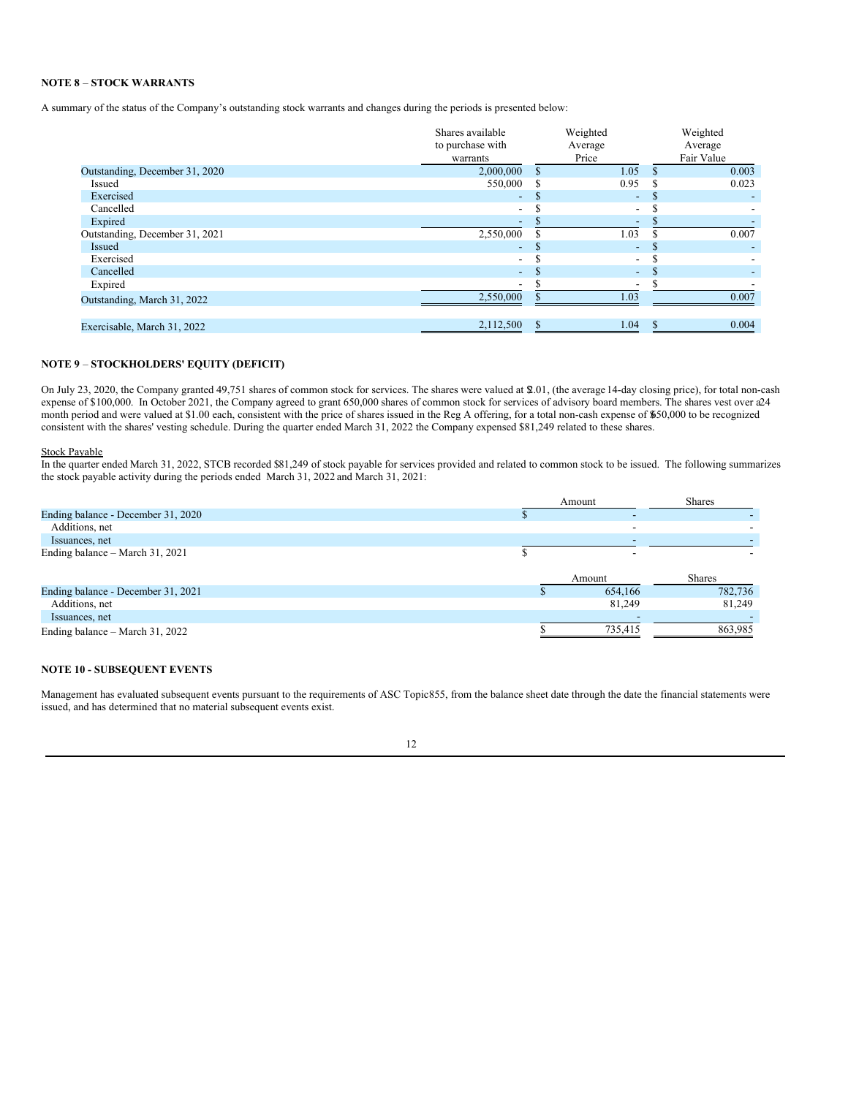# **NOTE 8** – **STOCK WARRANTS**

A summary of the status of the Company's outstanding stock warrants and changes during the periods is presented below:

|                                | Shares available<br>to purchase with<br>warrants |          | Weighted<br>Average<br>Price | Weighted<br>Average<br>Fair Value |
|--------------------------------|--------------------------------------------------|----------|------------------------------|-----------------------------------|
| Outstanding, December 31, 2020 | 2,000,000                                        | S        | 1.05                         | 0.003                             |
| Issued                         | 550,000                                          | S        | 0.95                         | 0.023                             |
| Exercised                      | $\sim$                                           | S        | ÷                            | \$                                |
| Cancelled                      | $\overline{\phantom{a}}$                         |          | -                            |                                   |
| Expired                        | $\overline{\phantom{a}}$                         |          |                              |                                   |
| Outstanding, December 31, 2021 | 2,550,000                                        |          | 1.03                         | 0.007                             |
| Issued                         | $\sim$                                           | <b>S</b> | ٠                            |                                   |
| Exercised                      | $\overline{\phantom{a}}$                         |          | $\overline{\phantom{0}}$     |                                   |
| Cancelled                      | $\blacksquare$                                   |          | ٠.                           |                                   |
| Expired                        | $\overline{\phantom{a}}$                         |          |                              |                                   |
| Outstanding, March 31, 2022    | 2,550,000                                        |          | 1.03                         | 0.007                             |
| Exercisable, March 31, 2022    | 2,112,500                                        |          | 1.04                         | 0.004                             |

# **NOTE 9** – **STOCKHOLDERS' EQUITY (DEFICIT)**

On July 23, 2020, the Company granted 49,751 shares of common stock for services. The shares were valued at \$2.01, (the average 14-day closing price), for total non-cash expense of \$100,000. In October 2021, the Company agreed to grant 650,000 shares of common stock for services of advisory board members. The shares vest over a24 month period and were valued at \$1.00 each, consistent with the price of shares issued in the Reg A offering, for a total non-cash expense of \$650,000 to be recognized consistent with the shares' vesting schedule. During the quarter ended March 31, 2022 the Company expensed \$81,249 related to these shares.

### Stock Payable

In the quarter ended March 31, 2022, STCB recorded \$81,249 of stock payable for services provided and related to common stock to be issued. The following summarizes the stock payable activity during the periods ended March 31, 2022 and March 31, 2021:

|                                    |  | Amount |         | <b>Shares</b> |
|------------------------------------|--|--------|---------|---------------|
| Ending balance - December 31, 2020 |  |        |         |               |
| Additions, net                     |  |        |         |               |
| Issuances, net                     |  |        |         |               |
| Ending balance – March 31, 2021    |  |        |         |               |
|                                    |  | Amount |         | <b>Shares</b> |
| Ending balance - December 31, 2021 |  |        | 654,166 | 782,736       |
| Additions, net                     |  |        | 81,249  | 81,249        |
| Issuances, net                     |  |        |         |               |
| Ending balance – March 31, 2022    |  |        | 735,415 | 863,985       |

### **NOTE 10 - SUBSEQUENT EVENTS**

Management has evaluated subsequent events pursuant to the requirements of ASC Topic855, from the balance sheet date through the date the financial statements were issued, and has determined that no material subsequent events exist.

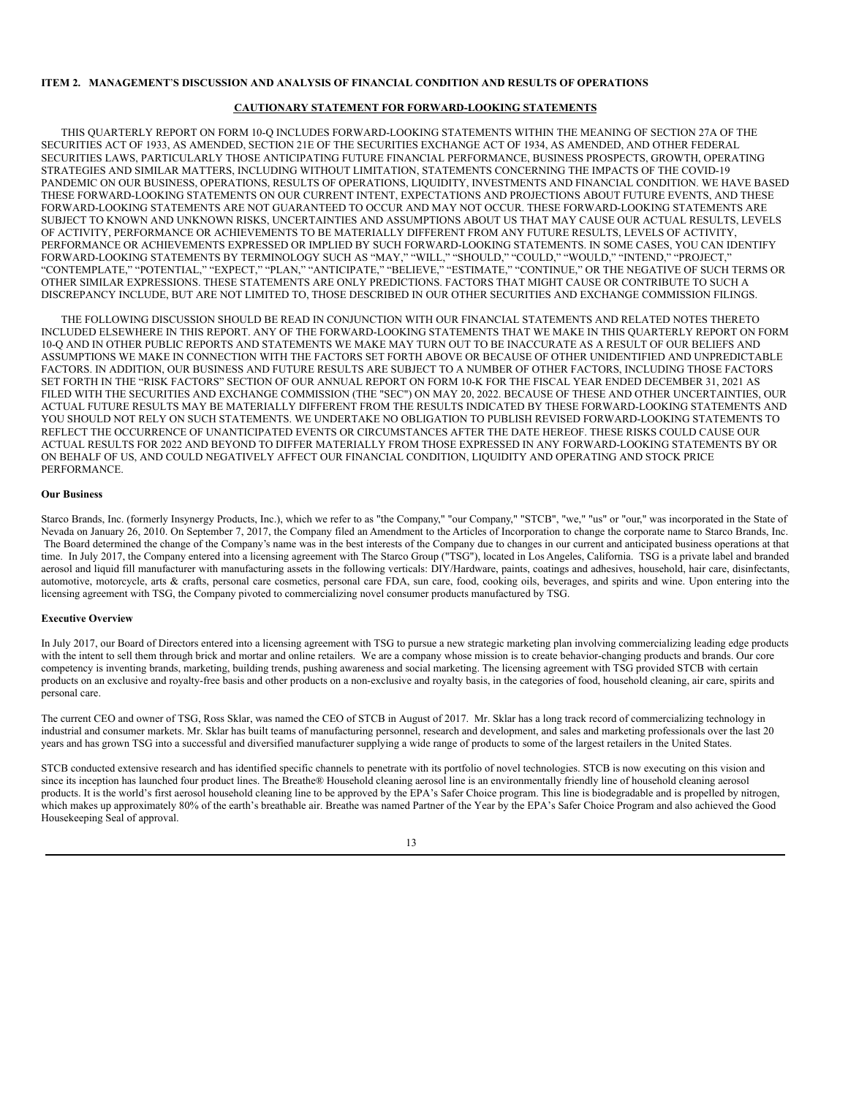### **ITEM 2. MANAGEMENT**'**S DISCUSSION AND ANALYSIS OF FINANCIAL CONDITION AND RESULTS OF OPERATIONS**

### **CAUTIONARY STATEMENT FOR FORWARD-LOOKING STATEMENTS**

THIS QUARTERLY REPORT ON FORM 10-Q INCLUDES FORWARD-LOOKING STATEMENTS WITHIN THE MEANING OF SECTION 27A OF THE SECURITIES ACT OF 1933, AS AMENDED, SECTION 21E OF THE SECURITIES EXCHANGE ACT OF 1934, AS AMENDED, AND OTHER FEDERAL SECURITIES LAWS, PARTICULARLY THOSE ANTICIPATING FUTURE FINANCIAL PERFORMANCE, BUSINESS PROSPECTS, GROWTH, OPERATING STRATEGIES AND SIMILAR MATTERS, INCLUDING WITHOUT LIMITATION, STATEMENTS CONCERNING THE IMPACTS OF THE COVID-19 PANDEMIC ON OUR BUSINESS, OPERATIONS, RESULTS OF OPERATIONS, LIQUIDITY, INVESTMENTS AND FINANCIAL CONDITION*.* WE HAVE BASED THESE FORWARD-LOOKING STATEMENTS ON OUR CURRENT INTENT, EXPECTATIONS AND PROJECTIONS ABOUT FUTURE EVENTS, AND THESE FORWARD-LOOKING STATEMENTS ARE NOT GUARANTEED TO OCCUR AND MAY NOT OCCUR. THESE FORWARD-LOOKING STATEMENTS ARE SUBJECT TO KNOWN AND UNKNOWN RISKS, UNCERTAINTIES AND ASSUMPTIONS ABOUT US THAT MAY CAUSE OUR ACTUAL RESULTS, LEVELS OF ACTIVITY, PERFORMANCE OR ACHIEVEMENTS TO BE MATERIALLY DIFFERENT FROM ANY FUTURE RESULTS, LEVELS OF ACTIVITY, PERFORMANCE OR ACHIEVEMENTS EXPRESSED OR IMPLIED BY SUCH FORWARD-LOOKING STATEMENTS. IN SOME CASES, YOU CAN IDENTIFY FORWARD-LOOKING STATEMENTS BY TERMINOLOGY SUCH AS "MAY," "WILL," "SHOULD," "COULD," "WOULD," "INTEND," "PROJECT," "CONTEMPLATE," "POTENTIAL," "EXPECT," "PLAN," "ANTICIPATE," "BELIEVE," "ESTIMATE," "CONTINUE," OR THE NEGATIVE OF SUCH TERMS OR OTHER SIMILAR EXPRESSIONS. THESE STATEMENTS ARE ONLY PREDICTIONS. FACTORS THAT MIGHT CAUSE OR CONTRIBUTE TO SUCH A DISCREPANCY INCLUDE, BUT ARE NOT LIMITED TO, THOSE DESCRIBED IN OUR OTHER SECURITIES AND EXCHANGE COMMISSION FILINGS.

THE FOLLOWING DISCUSSION SHOULD BE READ IN CONJUNCTION WITH OUR FINANCIAL STATEMENTS AND RELATED NOTES THERETO INCLUDED ELSEWHERE IN THIS REPORT. ANY OF THE FORWARD-LOOKING STATEMENTS THAT WE MAKE IN THIS QUARTERLY REPORT ON FORM 10-Q AND IN OTHER PUBLIC REPORTS AND STATEMENTS WE MAKE MAY TURN OUT TO BE INACCURATE AS A RESULT OF OUR BELIEFS AND ASSUMPTIONS WE MAKE IN CONNECTION WITH THE FACTORS SET FORTH ABOVE OR BECAUSE OF OTHER UNIDENTIFIED AND UNPREDICTABLE FACTORS. IN ADDITION, OUR BUSINESS AND FUTURE RESULTS ARE SUBJECT TO A NUMBER OF OTHER FACTORS, INCLUDING THOSE FACTORS SET FORTH IN THE "RISK FACTORS" SECTION OF OUR ANNUAL REPORT ON FORM 10-K FOR THE FISCAL YEAR ENDED DECEMBER 31, 2021 AS FILED WITH THE SECURITIES AND EXCHANGE COMMISSION (THE "SEC") ON MAY 20, 2022. BECAUSE OF THESE AND OTHER UNCERTAINTIES, OUR ACTUAL FUTURE RESULTS MAY BE MATERIALLY DIFFERENT FROM THE RESULTS INDICATED BY THESE FORWARD-LOOKING STATEMENTS AND YOU SHOULD NOT RELY ON SUCH STATEMENTS. WE UNDERTAKE NO OBLIGATION TO PUBLISH REVISED FORWARD-LOOKING STATEMENTS TO REFLECT THE OCCURRENCE OF UNANTICIPATED EVENTS OR CIRCUMSTANCES AFTER THE DATE HEREOF. THESE RISKS COULD CAUSE OUR ACTUAL RESULTS FOR 2022 AND BEYOND TO DIFFER MATERIALLY FROM THOSE EXPRESSED IN ANY FORWARD-LOOKING STATEMENTS BY OR ON BEHALF OF US, AND COULD NEGATIVELY AFFECT OUR FINANCIAL CONDITION, LIQUIDITY AND OPERATING AND STOCK PRICE PERFORMANCE.

### **Our Business**

Starco Brands, Inc. (formerly Insynergy Products, Inc.), which we refer to as "the Company," "our Company," "STCB", "we," "us" or "our," was incorporated in the State of Nevada on January 26, 2010. On September 7, 2017, the Company filed an Amendment to the Articles of Incorporation to change the corporate name to Starco Brands, Inc. The Board determined the change of the Company's name was in the best interests of the Company due to changes in our current and anticipated business operations at that time. In July 2017, the Company entered into a licensing agreement with The Starco Group ("TSG"), located in Los Angeles, California. TSG is a private label and branded aerosol and liquid fill manufacturer with manufacturing assets in the following verticals: DIY/Hardware, paints, coatings and adhesives, household, hair care, disinfectants, automotive, motorcycle, arts & crafts, personal care cosmetics, personal care FDA, sun care, food, cooking oils, beverages, and spirits and wine. Upon entering into the licensing agreement with TSG, the Company pivoted to commercializing novel consumer products manufactured by TSG.

### **Executive Overview**

In July 2017, our Board of Directors entered into a licensing agreement with TSG to pursue a new strategic marketing plan involving commercializing leading edge products with the intent to sell them through brick and mortar and online retailers. We are a company whose mission is to create behavior-changing products and brands. Our core competency is inventing brands, marketing, building trends, pushing awareness and social marketing. The licensing agreement with TSG provided STCB with certain products on an exclusive and royalty-free basis and other products on a non-exclusive and royalty basis, in the categories of food, household cleaning, air care, spirits and personal care.

The current CEO and owner of TSG, Ross Sklar, was named the CEO of STCB in August of 2017. Mr. Sklar has a long track record of commercializing technology in industrial and consumer markets. Mr. Sklar has built teams of manufacturing personnel, research and development, and sales and marketing professionals over the last 20 years and has grown TSG into a successful and diversified manufacturer supplying a wide range of products to some of the largest retailers in the United States.

STCB conducted extensive research and has identified specific channels to penetrate with its portfolio of novel technologies. STCB is now executing on this vision and since its inception has launched four product lines. The Breathe® Household cleaning aerosol line is an environmentally friendly line of household cleaning aerosol products. It is the world's first aerosol household cleaning line to be approved by the EPA's Safer Choice program. This line is biodegradable and is propelled by nitrogen, which makes up approximately 80% of the earth's breathable air. Breathe was named Partner of the Year by the EPA's Safer Choice Program and also achieved the Good Housekeeping Seal of approval.

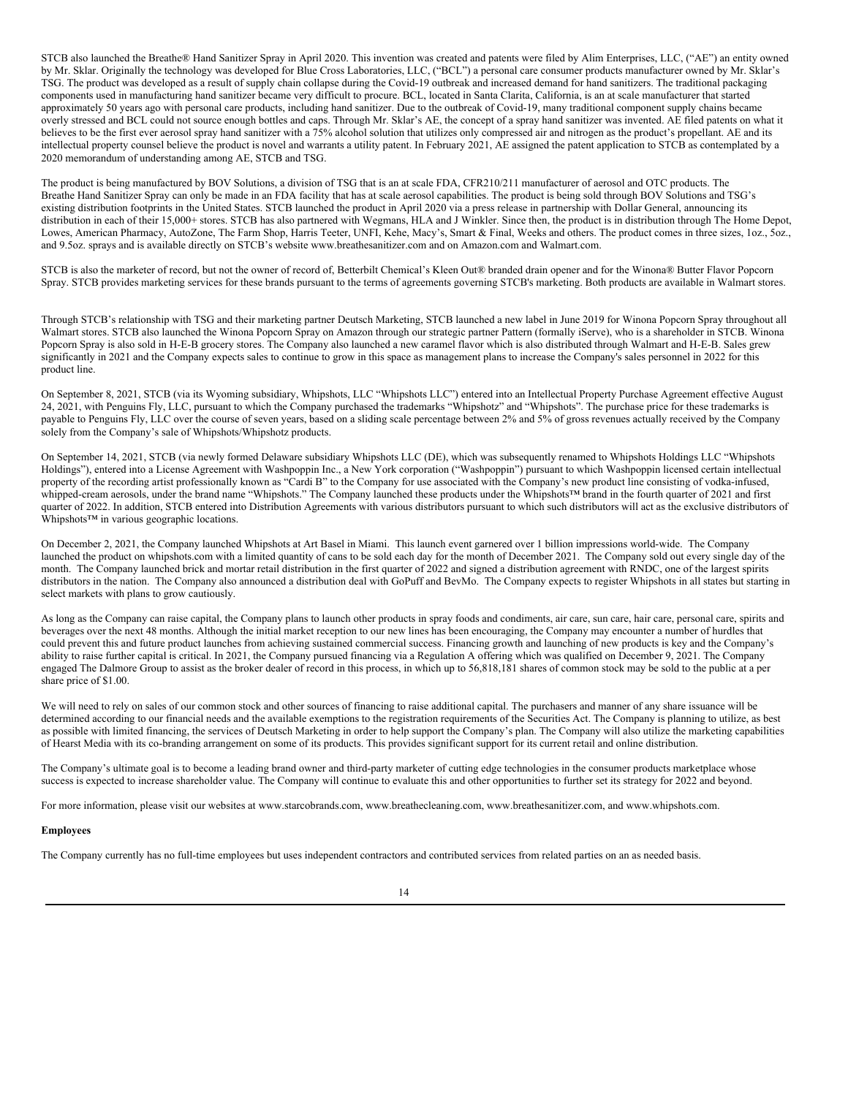STCB also launched the Breathe® Hand Sanitizer Spray in April 2020. This invention was created and patents were filed by Alim Enterprises, LLC, ("AE") an entity owned by Mr. Sklar. Originally the technology was developed for Blue Cross Laboratories, LLC, ("BCL") a personal care consumer products manufacturer owned by Mr. Sklar's TSG. The product was developed as a result of supply chain collapse during the Covid-19 outbreak and increased demand for hand sanitizers. The traditional packaging components used in manufacturing hand sanitizer became very difficult to procure. BCL, located in Santa Clarita, California, is an at scale manufacturer that started approximately 50 years ago with personal care products, including hand sanitizer. Due to the outbreak of Covid-19, many traditional component supply chains became overly stressed and BCL could not source enough bottles and caps. Through Mr. Sklar's AE, the concept of a spray hand sanitizer was invented. AE filed patents on what it believes to be the first ever aerosol spray hand sanitizer with a 75% alcohol solution that utilizes only compressed air and nitrogen as the product's propellant. AE and its intellectual property counsel believe the product is novel and warrants a utility patent. In February 2021, AE assigned the patent application to STCB as contemplated by a 2020 memorandum of understanding among AE, STCB and TSG.

The product is being manufactured by BOV Solutions, a division of TSG that is an at scale FDA, CFR210/211 manufacturer of aerosol and OTC products. The Breathe Hand Sanitizer Spray can only be made in an FDA facility that has at scale aerosol capabilities. The product is being sold through BOV Solutions and TSG's existing distribution footprints in the United States. STCB launched the product in April 2020 via a press release in partnership with Dollar General, announcing its distribution in each of their 15,000+ stores. STCB has also partnered with Wegmans, HLA and J Winkler. Since then, the product is in distribution through The Home Depot, Lowes, American Pharmacy, AutoZone, The Farm Shop, Harris Teeter, UNFI, Kehe, Macy's, Smart & Final, Weeks and others. The product comes in three sizes, 1oz., 5oz., and 9.5oz. sprays and is available directly on STCB's website www.breathesanitizer.com and on Amazon.com and Walmart.com.

STCB is also the marketer of record, but not the owner of record of, Betterbilt Chemical's Kleen Out® branded drain opener and for the Winona® Butter Flavor Popcorn Spray. STCB provides marketing services for these brands pursuant to the terms of agreements governing STCB's marketing. Both products are available in Walmart stores.

Through STCB's relationship with TSG and their marketing partner Deutsch Marketing, STCB launched a new label in June 2019 for Winona Popcorn Spray throughout all Walmart stores. STCB also launched the Winona Popcorn Spray on Amazon through our strategic partner Pattern (formally iServe), who is a shareholder in STCB. Winona Popcorn Spray is also sold in H-E-B grocery stores. The Company also launched a new caramel flavor which is also distributed through Walmart and H-E-B. Sales grew significantly in 2021 and the Company expects sales to continue to grow in this space as management plans to increase the Company's sales personnel in 2022 for this product line.

On September 8, 2021, STCB (via its Wyoming subsidiary, Whipshots, LLC "Whipshots LLC") entered into an Intellectual Property Purchase Agreement effective August 24, 2021, with Penguins Fly, LLC, pursuant to which the Company purchased the trademarks "Whipshotz" and "Whipshots". The purchase price for these trademarks is payable to Penguins Fly, LLC over the course of seven years, based on a sliding scale percentage between 2% and 5% of gross revenues actually received by the Company solely from the Company's sale of Whipshots/Whipshotz products.

On September 14, 2021, STCB (via newly formed Delaware subsidiary Whipshots LLC (DE), which was subsequently renamed to Whipshots Holdings LLC "Whipshots Holdings"), entered into a License Agreement with Washpoppin Inc., a New York corporation ("Washpoppin") pursuant to which Washpoppin licensed certain intellectual property of the recording artist professionally known as "Cardi B" to the Company for use associated with the Company's new product line consisting of vodka-infused, whipped-cream aerosols, under the brand name "Whipshots." The Company launched these products under the Whipshots™ brand in the fourth quarter of 2021 and first quarter of 2022. In addition, STCB entered into Distribution Agreements with various distributors pursuant to which such distributors will act as the exclusive distributors of Whipshots™ in various geographic locations.

On December 2, 2021, the Company launched Whipshots at Art Basel in Miami. This launch event garnered over 1 billion impressions world-wide. The Company launched the product on whipshots.com with a limited quantity of cans to be sold each day for the month of December 2021. The Company sold out every single day of the month. The Company launched brick and mortar retail distribution in the first quarter of 2022 and signed a distribution agreement with RNDC, one of the largest spirits distributors in the nation. The Company also announced a distribution deal with GoPuff and BevMo. The Company expects to register Whipshots in all states but starting in select markets with plans to grow cautiously.

As long as the Company can raise capital, the Company plans to launch other products in spray foods and condiments, air care, sun care, hair care, personal care, spirits and beverages over the next 48 months. Although the initial market reception to our new lines has been encouraging, the Company may encounter a number of hurdles that could prevent this and future product launches from achieving sustained commercial success. Financing growth and launching of new products is key and the Company's ability to raise further capital is critical. In 2021, the Company pursued financing via a Regulation A offering which was qualified on December 9, 2021. The Company engaged The Dalmore Group to assist as the broker dealer of record in this process, in which up to 56,818,181 shares of common stock may be sold to the public at a per share price of \$1.00.

We will need to rely on sales of our common stock and other sources of financing to raise additional capital. The purchasers and manner of any share issuance will be determined according to our financial needs and the available exemptions to the registration requirements of the Securities Act. The Company is planning to utilize, as best as possible with limited financing, the services of Deutsch Marketing in order to help support the Company's plan. The Company will also utilize the marketing capabilities of Hearst Media with its co-branding arrangement on some of its products. This provides significant support for its current retail and online distribution.

The Company's ultimate goal is to become a leading brand owner and third-party marketer of cutting edge technologies in the consumer products marketplace whose success is expected to increase shareholder value. The Company will continue to evaluate this and other opportunities to further set its strategy for 2022 and beyond.

For more information, please visit our websites at www.starcobrands.com, www.breathecleaning.com, www.breathesanitizer.com, and www.whipshots.com.

### **Employees**

The Company currently has no full-time employees but uses independent contractors and contributed services from related parties on an as needed basis.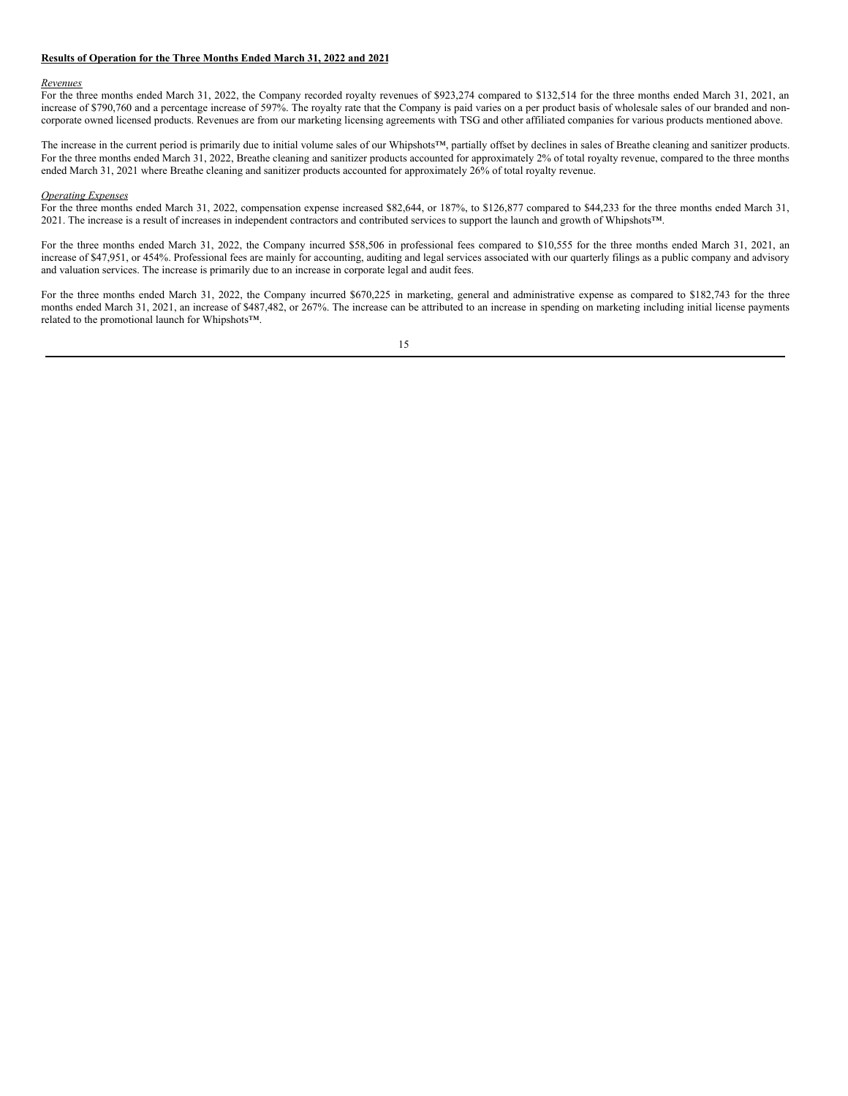### **Results of Operation for the Three Months Ended March 31, 2022 and 2021**

### *Revenues*

For the three months ended March 31, 2022, the Company recorded royalty revenues of \$923,274 compared to \$132,514 for the three months ended March 31, 2021, an increase of \$790,760 and a percentage increase of 597%. The royalty rate that the Company is paid varies on a per product basis of wholesale sales of our branded and noncorporate owned licensed products. Revenues are from our marketing licensing agreements with TSG and other affiliated companies for various products mentioned above.

The increase in the current period is primarily due to initial volume sales of our Whipshots™, partially offset by declines in sales of Breathe cleaning and sanitizer products. For the three months ended March 31, 2022, Breathe cleaning and sanitizer products accounted for approximately 2% of total royalty revenue, compared to the three months ended March 31, 2021 where Breathe cleaning and sanitizer products accounted for approximately 26% of total royalty revenue.

#### *Operating Expenses*

For the three months ended March 31, 2022, compensation expense increased \$82,644, or 187%, to \$126,877 compared to \$44,233 for the three months ended March 31, 2021. The increase is a result of increases in independent contractors and contributed services to support the launch and growth of Whipshots™.

For the three months ended March 31, 2022, the Company incurred \$58,506 in professional fees compared to \$10,555 for the three months ended March 31, 2021, an increase of \$47,951, or 454%. Professional fees are mainly for accounting, auditing and legal services associated with our quarterly filings as a public company and advisory and valuation services. The increase is primarily due to an increase in corporate legal and audit fees.

For the three months ended March 31, 2022, the Company incurred \$670,225 in marketing, general and administrative expense as compared to \$182,743 for the three months ended March 31, 2021, an increase of \$487,482, or 267%. The increase can be attributed to an increase in spending on marketing including initial license payments related to the promotional launch for Whipshots™.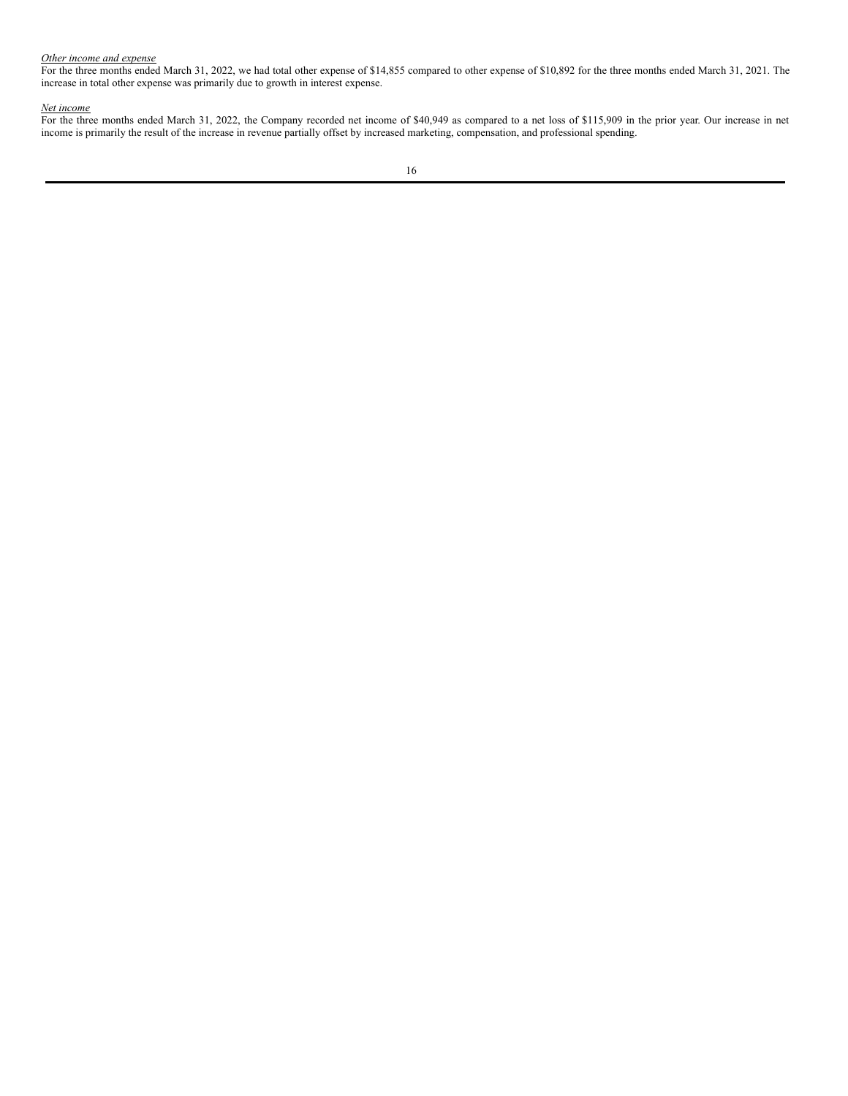#### *Other income and expense*

For the three months ended March 31, 2022, we had total other expense of \$14,855 compared to other expense of \$10,892 for the three months ended March 31, 2021. The increase in total other expense was primarily due to growth in interest expense.

#### *Net income*

For the three months ended March 31, 2022, the Company recorded net income of \$40,949 as compared to a net loss of \$115,909 in the prior year. Our increase in net income is primarily the result of the increase in revenue partially offset by increased marketing, compensation, and professional spending.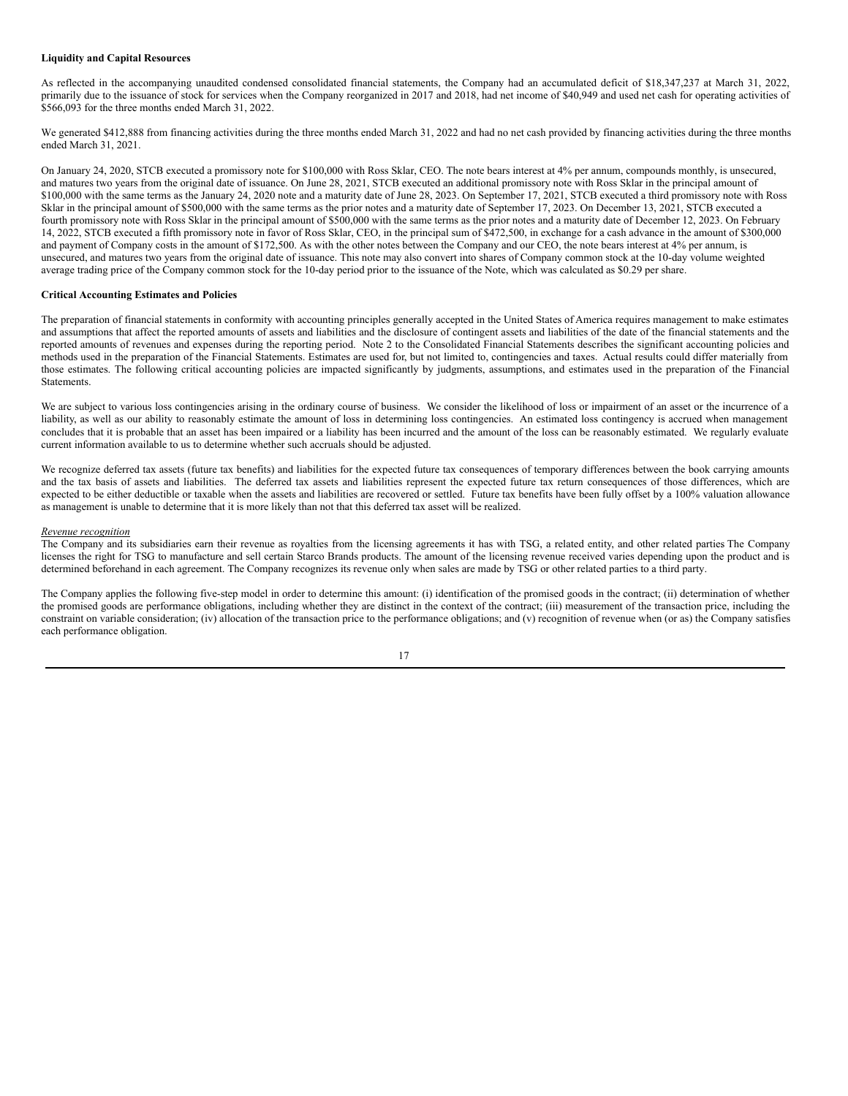### **Liquidity and Capital Resources**

As reflected in the accompanying unaudited condensed consolidated financial statements, the Company had an accumulated deficit of \$18,347,237 at March 31, 2022, primarily due to the issuance of stock for services when the Company reorganized in 2017 and 2018, had net income of \$40,949 and used net cash for operating activities of \$566,093 for the three months ended March 31, 2022.

We generated \$412,888 from financing activities during the three months ended March 31, 2022 and had no net cash provided by financing activities during the three months ended March 31, 2021.

On January 24, 2020, STCB executed a promissory note for \$100,000 with Ross Sklar, CEO. The note bears interest at 4% per annum, compounds monthly, is unsecured, and matures two years from the original date of issuance. On June 28, 2021, STCB executed an additional promissory note with Ross Sklar in the principal amount of \$100,000 with the same terms as the January 24, 2020 note and a maturity date of June 28, 2023. On September 17, 2021, STCB executed a third promissory note with Ross Sklar in the principal amount of \$500,000 with the same terms as the prior notes and a maturity date of September 17, 2023. On December 13, 2021, STCB executed a fourth promissory note with Ross Sklar in the principal amount of \$500,000 with the same terms as the prior notes and a maturity date of December 12, 2023. On February 14, 2022, STCB executed a fifth promissory note in favor of Ross Sklar, CEO, in the principal sum of \$472,500, in exchange for a cash advance in the amount of \$300,000 and payment of Company costs in the amount of \$172,500. As with the other notes between the Company and our CEO, the note bears interest at 4% per annum, is unsecured, and matures two years from the original date of issuance. This note may also convert into shares of Company common stock at the 10-day volume weighted average trading price of the Company common stock for the 10-day period prior to the issuance of the Note, which was calculated as \$0.29 per share.

### **Critical Accounting Estimates and Policies**

The preparation of financial statements in conformity with accounting principles generally accepted in the United States of America requires management to make estimates and assumptions that affect the reported amounts of assets and liabilities and the disclosure of contingent assets and liabilities of the date of the financial statements and the reported amounts of revenues and expenses during the reporting period. Note 2 to the Consolidated Financial Statements describes the significant accounting policies and methods used in the preparation of the Financial Statements. Estimates are used for, but not limited to, contingencies and taxes. Actual results could differ materially from those estimates. The following critical accounting policies are impacted significantly by judgments, assumptions, and estimates used in the preparation of the Financial Statements.

We are subject to various loss contingencies arising in the ordinary course of business. We consider the likelihood of loss or impairment of an asset or the incurrence of a liability, as well as our ability to reasonably estimate the amount of loss in determining loss contingencies. An estimated loss contingency is accrued when management concludes that it is probable that an asset has been impaired or a liability has been incurred and the amount of the loss can be reasonably estimated. We regularly evaluate current information available to us to determine whether such accruals should be adjusted.

We recognize deferred tax assets (future tax benefits) and liabilities for the expected future tax consequences of temporary differences between the book carrying amounts and the tax basis of assets and liabilities. The deferred tax assets and liabilities represent the expected future tax return consequences of those differences, which are expected to be either deductible or taxable when the assets and liabilities are recovered or settled. Future tax benefits have been fully offset by a 100% valuation allowance as management is unable to determine that it is more likely than not that this deferred tax asset will be realized.

#### *Revenue recognition*

The Company and its subsidiaries earn their revenue as royalties from the licensing agreements it has with TSG, a related entity, and other related parties The Company licenses the right for TSG to manufacture and sell certain Starco Brands products. The amount of the licensing revenue received varies depending upon the product and is determined beforehand in each agreement. The Company recognizes its revenue only when sales are made by TSG or other related parties to a third party.

The Company applies the following five-step model in order to determine this amount: (i) identification of the promised goods in the contract; (ii) determination of whether the promised goods are performance obligations, including whether they are distinct in the context of the contract; (iii) measurement of the transaction price, including the constraint on variable consideration; (iv) allocation of the transaction price to the performance obligations; and (v) recognition of revenue when (or as) the Company satisfies each performance obligation.

$$
17\\
$$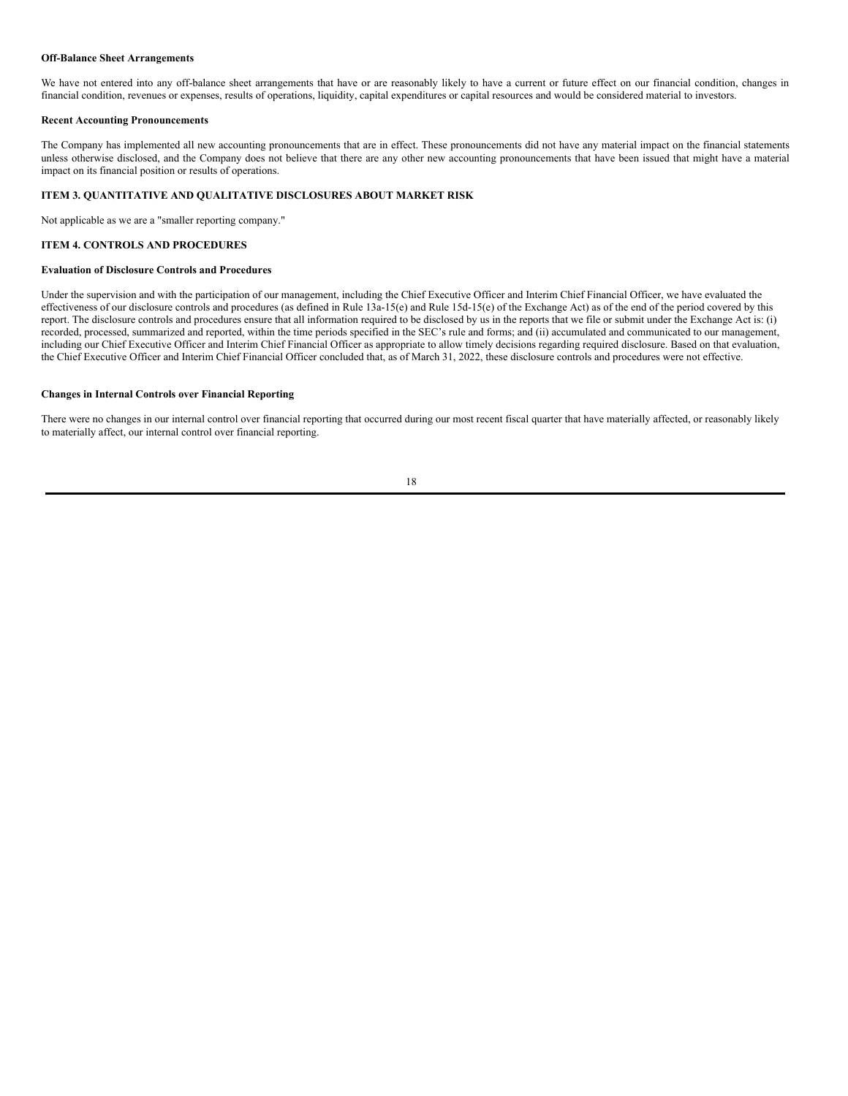### **Off-Balance Sheet Arrangements**

We have not entered into any off-balance sheet arrangements that have or are reasonably likely to have a current or future effect on our financial condition, changes in financial condition, revenues or expenses, results of operations, liquidity, capital expenditures or capital resources and would be considered material to investors.

### **Recent Accounting Pronouncements**

The Company has implemented all new accounting pronouncements that are in effect. These pronouncements did not have any material impact on the financial statements unless otherwise disclosed, and the Company does not believe that there are any other new accounting pronouncements that have been issued that might have a material impact on its financial position or results of operations.

# **ITEM 3. QUANTITATIVE AND QUALITATIVE DISCLOSURES ABOUT MARKET RISK**

Not applicable as we are a "smaller reporting company."

# **ITEM 4. CONTROLS AND PROCEDURES**

### **Evaluation of Disclosure Controls and Procedures**

Under the supervision and with the participation of our management, including the Chief Executive Officer and Interim Chief Financial Officer, we have evaluated the effectiveness of our disclosure controls and procedures (as defined in Rule 13a-15(e) and Rule 15d-15(e) of the Exchange Act) as of the end of the period covered by this report. The disclosure controls and procedures ensure that all information required to be disclosed by us in the reports that we file or submit under the Exchange Act is: (i) recorded, processed, summarized and reported, within the time periods specified in the SEC's rule and forms; and (ii) accumulated and communicated to our management, including our Chief Executive Officer and Interim Chief Financial Officer as appropriate to allow timely decisions regarding required disclosure. Based on that evaluation, the Chief Executive Officer and Interim Chief Financial Officer concluded that, as of March 31, 2022, these disclosure controls and procedures were not effective.

# **Changes in Internal Controls over Financial Reporting**

There were no changes in our internal control over financial reporting that occurred during our most recent fiscal quarter that have materially affected, or reasonably likely to materially affect, our internal control over financial reporting.

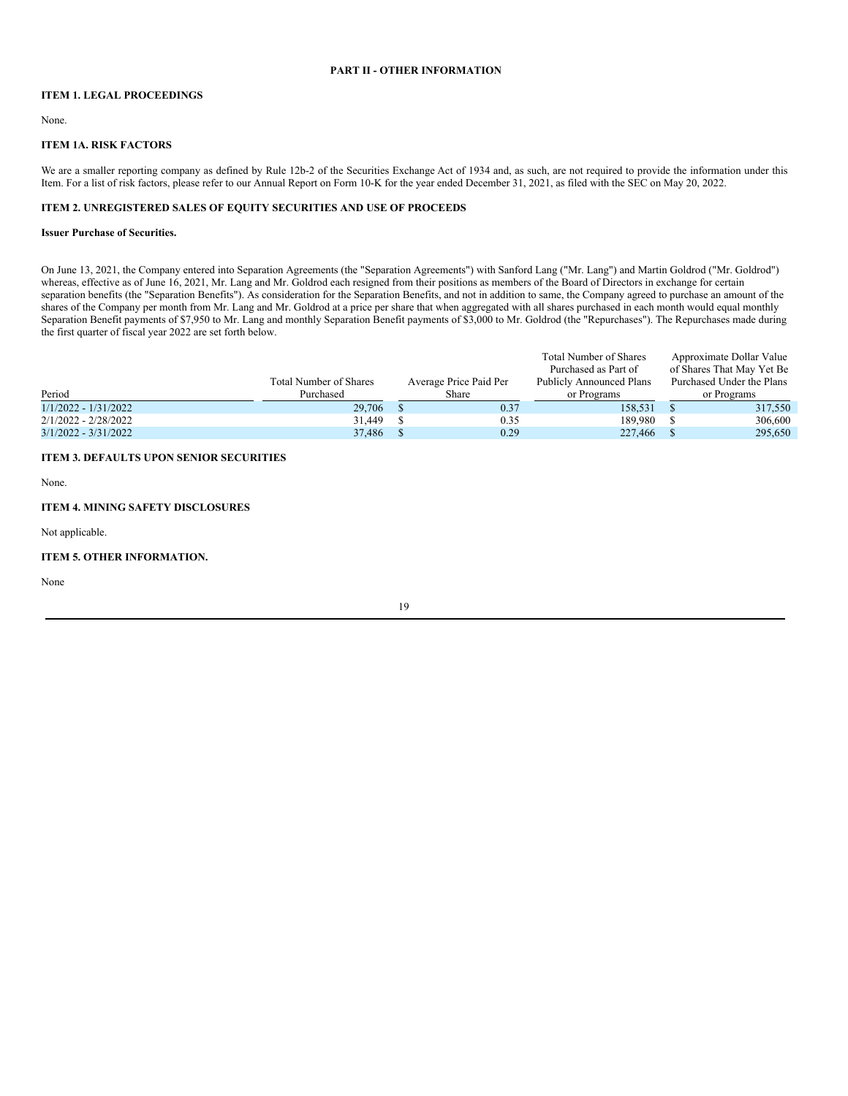# **PART II - OTHER INFORMATION**

# **ITEM 1. LEGAL PROCEEDINGS**

None.

## **ITEM 1A. RISK FACTORS**

We are a smaller reporting company as defined by Rule 12b-2 of the Securities Exchange Act of 1934 and, as such, are not required to provide the information under this Item. For a list of risk factors, please refer to our Annual Report on Form 10-K for the year ended December 31, 2021, as filed with the SEC on May 20, 2022.

### **ITEM 2. UNREGISTERED SALES OF EQUITY SECURITIES AND USE OF PROCEEDS**

### **Issuer Purchase of Securities.**

On June 13, 2021, the Company entered into Separation Agreements (the "Separation Agreements") with Sanford Lang ("Mr. Lang") and Martin Goldrod ("Mr. Goldrod") whereas, effective as of June 16, 2021, Mr. Lang and Mr. Goldrod each resigned from their positions as members of the Board of Directors in exchange for certain separation benefits (the "Separation Benefits"). As consideration for the Separation Benefits, and not in addition to same, the Company agreed to purchase an amount of the shares of the Company per month from Mr. Lang and Mr. Goldrod at a price per share that when aggregated with all shares purchased in each month would equal monthly Separation Benefit payments of \$7,950 to Mr. Lang and monthly Separation Benefit payments of \$3,000 to Mr. Goldrod (the "Repurchases"). The Repurchases made during the first quarter of fiscal year 2022 are set forth below.

|                      |                               |                        | Total Number of Shares   | Approximate Dollar Value  |
|----------------------|-------------------------------|------------------------|--------------------------|---------------------------|
|                      |                               |                        | Purchased as Part of     | of Shares That May Yet Be |
|                      | <b>Total Number of Shares</b> | Average Price Paid Per | Publicly Announced Plans | Purchased Under the Plans |
| Period               | Purchased                     | Share                  | or Programs              | or Programs               |
| 1/1/2022 - 1/31/2022 | 29,706                        | 0.37                   | 158.531                  | 317,550                   |
| 2/1/2022 - 2/28/2022 | 31.449                        | 0.35                   | 189.980                  | 306,600                   |
| 3/1/2022 - 3/31/2022 | 37.486                        | 0.29                   | 227,466                  | 295.650                   |

# **ITEM 3. DEFAULTS UPON SENIOR SECURITIES**

None.

# **ITEM 4. MINING SAFETY DISCLOSURES**

Not applicable.

# **ITEM 5. OTHER INFORMATION.**

None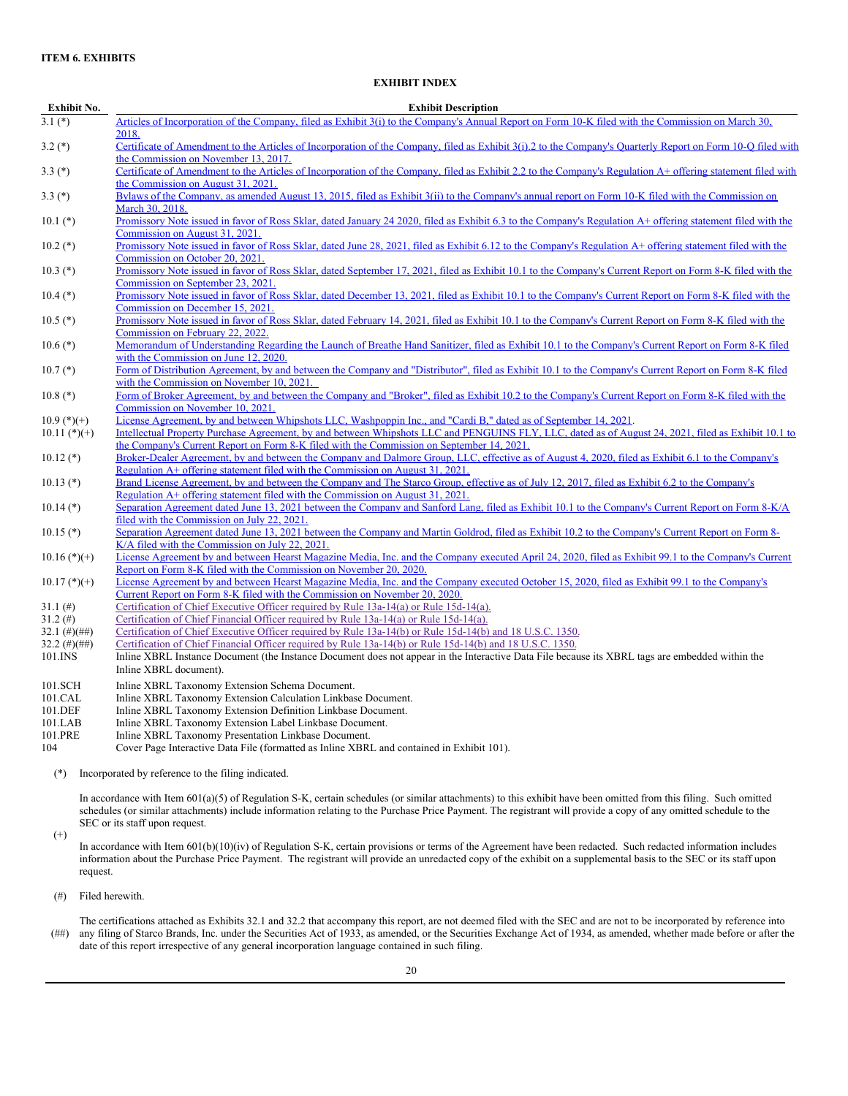# **EXHIBIT INDEX**

| Exhibit No. | <b>Exhibit Description</b>                                                                                                                                  |
|-------------|-------------------------------------------------------------------------------------------------------------------------------------------------------------|
| $3.1$ $(*)$ | Articles of Incorporation of the Company, filed as Exhibit 3(i) to the Company's Annual Report on Form 10-K filed with the Commission on March 30,          |
|             | 2018.                                                                                                                                                       |
| $3.2$ $(*)$ | Certificate of Amendment to the Articles of Incorporation of the Company, filed as Exhibit 3(i).2 to the Company's Quarterly Report on Form 10-Q filed with |
|             | the Commission on November 13, 2017.                                                                                                                        |
| $3.3(*)$    | Certificate of Amendment to the Articles of Incorporation of the Company, filed as Exhibit 2.2 to the Company's Regulation A+ offering statement filed with |
|             | the Commission on August 31, 2021.                                                                                                                          |
| $3.3(*)$    | Bylaws of the Company, as amended August 13, 2015, filed as Exhibit 3(ii) to the Company's annual report on Form 10-K filed with the Commission on          |
|             | March 30, 2018.                                                                                                                                             |
|             |                                                                                                                                                             |

10.1 (\*) [Promissory](http://www.sec.gov/Archives/edgar/data/1539850/000110465921111548/tm2037829d8_ex6-3.htm) Note issued in favor of Ross Sklar, dated January 24 2020, filed as Exhibit 6.3 to the Company's Regulation A+ offering statement filed with the Commission on August 31, 2021.

- 10.2 (\*) [Promissory](http://www.sec.gov/Archives/edgar/data/0001539850/000110465921128197/tm2130097d1_ex6-12.htm) Note issued in favor of Ross Sklar, dated June 28, 2021, filed as Exhibit 6.12 to the Company's Regulation A+ offering statement filed with the Commission on October 20, 2021.
- 10.3 (\*) [Promissory](http://www.sec.gov/Archives/edgar/data/0001539850/000143774921022577/ex_286142.htm) Note issued in favor of Ross Sklar, dated September 17, 2021, filed as Exhibit 10.1 to the Company's Current Report on Form 8-K filed with the Commission on September 23, 2021.
- 10.4 (\*) [Promissory](http://www.sec.gov/ix?doc=/Archives/edgar/data/0001539850/000143774921028656/stcb20211214_8k.htm) Note issued in favor of Ross Sklar, dated December 13, 2021, filed as Exhibit 10.1 to the Company's Current Report on Form 8-K filed with the Commission on December 15, 2021.
- 10.5 (\*) [Promissory](http://www.sec.gov/Archives/edgar/data/0001539850/000143774922003974/ex_338558.htm) Note issued in favor of Ross Sklar, dated February 14, 2021, filed as Exhibit 10.1 to the Company's Current Report on Form 8-K filed with the Commission on February 22, 2022.
- 10.6 (\*) Memorandum of [Understanding](http://www.sec.gov/Archives/edgar/data/0001539850/000109181820000142/ex101.htm) Regarding the Launch of Breathe Hand Sanitizer, filed as Exhibit 10.1 to the Company's Current Report on Form 8-K filed with the Commission on June 12, 2020.
- 10.7 (\*) Form of Distribution Agreement, by and between the Company and ["Distributor",](http://www.sec.gov/Archives/edgar/data/0001539850/000143774921026219/ex_303437.htm) filed as Exhibit 10.1 to the Company's Current Report on Form 8-K filed with the Commission on November 10, 2021.
- 10.8 (\*) Form of Broker [Agreement,](http://www.sec.gov/Archives/edgar/data/0001539850/000143774921026219/ex_304325.htm) by and between the Company and "Broker", filed as Exhibit 10.2 to the Company's Current Report on Form 8-K filed with the Commission on November 10, 2021.

10.9 (\*)(+) License Agreement, by and between Whipshots LLC, [Washpoppin](http://www.sec.gov/Archives/edgar/data/0001539850/000143774921022452/ex_285441.htm) Inc., and "Cardi B," dated as of September 14, 2021.

10.11 (\*)(+) Intellectual Property Purchase Agreement, by and between Whipshots LLC and PENGUINS FLY, LLC, dated as of August 24, 2021, filed as Exhibit 10.1 to the Company's Current Report on Form 8-K filed with the [Commission](http://www.sec.gov/Archives/edgar/data/0001539850/000143774921022124/ex_283944.htm) on September 14, 2021.

- 10.12 (\*) [Broker-Dealer](http://www.sec.gov/Archives/edgar/data/1539850/000110465921111548/tm2037829d8_ex6-1.htm) Agreement, by and between the Company and Dalmore Group, LLC, effective as of August 4, 2020, filed as Exhibit 6.1 to the Company's Regulation A+ offering statement filed with the Commission on August 31, 2021.
- 10.13 (\*) Brand License Agreement, by and between the Company and The Starco Group, effective as of July 12, 2017, filed as Exhibit 6.2 to the Company's Regulation A+ offering statement filed with the [Commission](http://www.sec.gov/Archives/edgar/data/1539850/000110465921111548/tm2037829d8_ex6-2.htm) on August 31, 2021.
- 10.14 (\*) Separation Agreement dated June 13, 2021 between the Company and Sanford Lang, filed as Exhibit 10.1 to the Company's Current Report on Form 8-K/A filed with the [Commission](http://www.sec.gov/Archives/edgar/data/0001539850/000109181821000097/ex101.htm) on July 22, 2021.
- 10.15 (\*) Separation Agreement dated June 13, 2021 between the Company and Martin Goldrod, filed as Exhibit 10.2 to the Company's Current Report on Form 8-K/A filed with the [Commission](http://www.sec.gov/Archives/edgar/data/0001539850/000109181821000097/ex102.htm) on July 22, 2021.

10.16 (\*)(+) License Agreement by and between Hearst Magazine Media, Inc. and the Company executed April 24, 2020, filed as Exhibit 99.1 to the Company's Current Report on Form 8-K filed with the [Commission](http://www.sec.gov/Archives/edgar/data/0001539850/000109181820000250/ex992.htm) on November 20, 2020.

10.17 (\*)(+) License Agreement by and between Hearst Magazine Media, Inc. and the Company executed October 15, 2020, filed as Exhibit 99.1 to the Company's Current Report on Form 8-K filed with the [Commission](http://www.sec.gov/Archives/edgar/data/0001539850/000109181820000250/ex991.htm) on November 20, 2020.

- 31.1 (#) [Certification](#page-22-0) of Chief Executive Officer required by Rule 13a-14(a) or Rule 15d-14(a).<br>31.2 (#) Certification of Chief Financial Officer required by Rule 13a-14(a) or Rule 15d-14(a).
- 31.2 (#) [Certification](#page-23-0) of Chief Financial Officer required by Rule 13a-14(a) or Rule 15d-14(a).<br>32.1 (#)(##) Certification of Chief Executive Officer required by Rule 13a-14(b) or Rule 15d-14(b)
- 32.1 (#)(##) [Certification](#page-24-0) of Chief Executive Officer required by Rule 13a-14(b) or Rule 15d-14(b) and 18 U.S.C. 1350.<br>32.2 (#)(##) Certification of Chief Financial Officer required by Rule 13a-14(b) or Rule 15d-14(b) and
- [Certification](#page-25-0) of Chief Financial Officer required by Rule 13a-14(b) or Rule 15d-14(b) and 18 U.S.C. 1350.
- 101.INS Inline XBRL Instance Document (the Instance Document does not appear in the Interactive Data File because its XBRL tags are embedded within the Inline XBRL document).
- 101.SCH Inline XBRL Taxonomy Extension Schema Document.<br>101.CAL Inline XBRL Taxonomy Extension Calculation Linkbas
- 101.CAL Inline XBRL Taxonomy Extension Calculation Linkbase Document.<br>101 DEE Inline XBRL Taxonomy Extension Definition Linkbase Document
- 101.DEF Inline XBRL Taxonomy Extension Definition Linkbase Document.<br>101.LAB Inline XBRL Taxonomy Extension Label Linkbase Document.
- 101.LAB Inline XBRL Taxonomy Extension Label Linkbase Document.<br>101.PRE Inline XBRL Taxonomy Presentation Linkbase Document.
- Inline XBRL Taxonomy Presentation Linkbase Document.
- 104 Cover Page Interactive Data File (formatted as Inline XBRL and contained in Exhibit 101).

(\*) Incorporated by reference to the filing indicated.

In accordance with Item 601(a)(5) of Regulation S-K, certain schedules (or similar attachments) to this exhibit have been omitted from this filing. Such omitted schedules (or similar attachments) include information relating to the Purchase Price Payment. The registrant will provide a copy of any omitted schedule to the SEC or its staff upon request.

(+)

- In accordance with Item 601(b)(10)(iv) of Regulation S-K, certain provisions or terms of the Agreement have been redacted. Such redacted information includes information about the Purchase Price Payment. The registrant will provide an unredacted copy of the exhibit on a supplemental basis to the SEC or its staff upon request.
- (#) Filed herewith.

 $(##)$ The certifications attached as Exhibits 32.1 and 32.2 that accompany this report, are not deemed filed with the SEC and are not to be incorporated by reference into any filing of Starco Brands, Inc. under the Securities Act of 1933, as amended, or the Securities Exchange Act of 1934, as amended, whether made before or after the date of this report irrespective of any general incorporation language contained in such filing.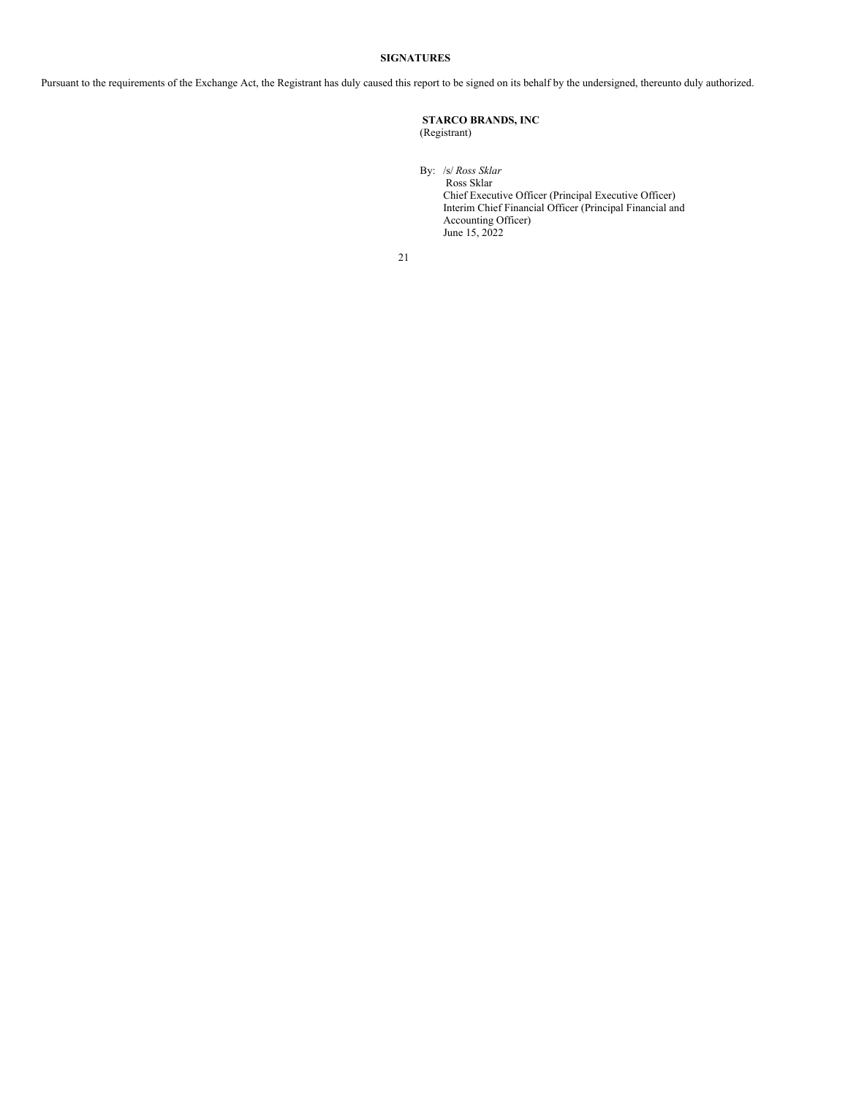# **SIGNATURES**

Pursuant to the requirements of the Exchange Act, the Registrant has duly caused this report to be signed on its behalf by the undersigned, thereunto duly authorized.

# **STARCO BRANDS, INC** (Registrant)

By: /s/ *Ross Sklar* Ross Sklar Chief Executive Officer (Principal Executive Officer) Interim Chief Financial Officer (Principal Financial and Accounting Officer) June 15, 2022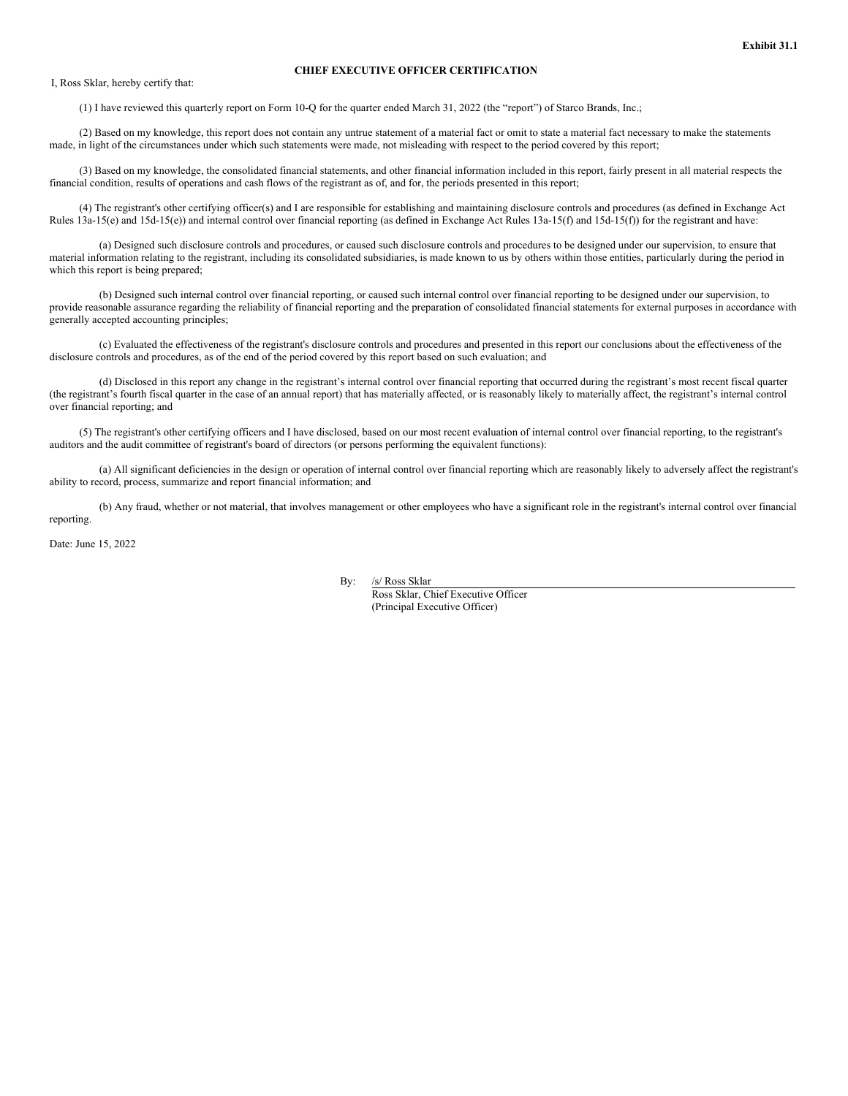# **CHIEF EXECUTIVE OFFICER CERTIFICATION**

<span id="page-22-0"></span>I, Ross Sklar, hereby certify that:

(1) I have reviewed this quarterly report on Form 10-Q for the quarter ended March 31, 2022 (the "report") of Starco Brands, Inc.;

(2) Based on my knowledge, this report does not contain any untrue statement of a material fact or omit to state a material fact necessary to make the statements made, in light of the circumstances under which such statements were made, not misleading with respect to the period covered by this report;

(3) Based on my knowledge, the consolidated financial statements, and other financial information included in this report, fairly present in all material respects the financial condition, results of operations and cash flows of the registrant as of, and for, the periods presented in this report;

(4) The registrant's other certifying officer(s) and I are responsible for establishing and maintaining disclosure controls and procedures (as defined in Exchange Act Rules 13a-15(e) and 15d-15(e)) and internal control over financial reporting (as defined in Exchange Act Rules 13a-15(f) and 15d-15(f)) for the registrant and have:

(a) Designed such disclosure controls and procedures, or caused such disclosure controls and procedures to be designed under our supervision, to ensure that material information relating to the registrant, including its consolidated subsidiaries, is made known to us by others within those entities, particularly during the period in which this report is being prepared;

(b) Designed such internal control over financial reporting, or caused such internal control over financial reporting to be designed under our supervision, to provide reasonable assurance regarding the reliability of financial reporting and the preparation of consolidated financial statements for external purposes in accordance with generally accepted accounting principles;

(c) Evaluated the effectiveness of the registrant's disclosure controls and procedures and presented in this report our conclusions about the effectiveness of the disclosure controls and procedures, as of the end of the period covered by this report based on such evaluation; and

(d) Disclosed in this report any change in the registrant's internal control over financial reporting that occurred during the registrant's most recent fiscal quarter (the registrant's fourth fiscal quarter in the case of an annual report) that has materially affected, or is reasonably likely to materially affect, the registrant's internal control over financial reporting; and

(5) The registrant's other certifying officers and I have disclosed, based on our most recent evaluation of internal control over financial reporting, to the registrant's auditors and the audit committee of registrant's board of directors (or persons performing the equivalent functions):

(a) All significant deficiencies in the design or operation of internal control over financial reporting which are reasonably likely to adversely affect the registrant's ability to record, process, summarize and report financial information; and

(b) Any fraud, whether or not material, that involves management or other employees who have a significant role in the registrant's internal control over financial reporting.

Date: June 15, 2022

By: /s/ Ross Sklar

Ross Sklar, Chief Executive Officer (Principal Executive Officer)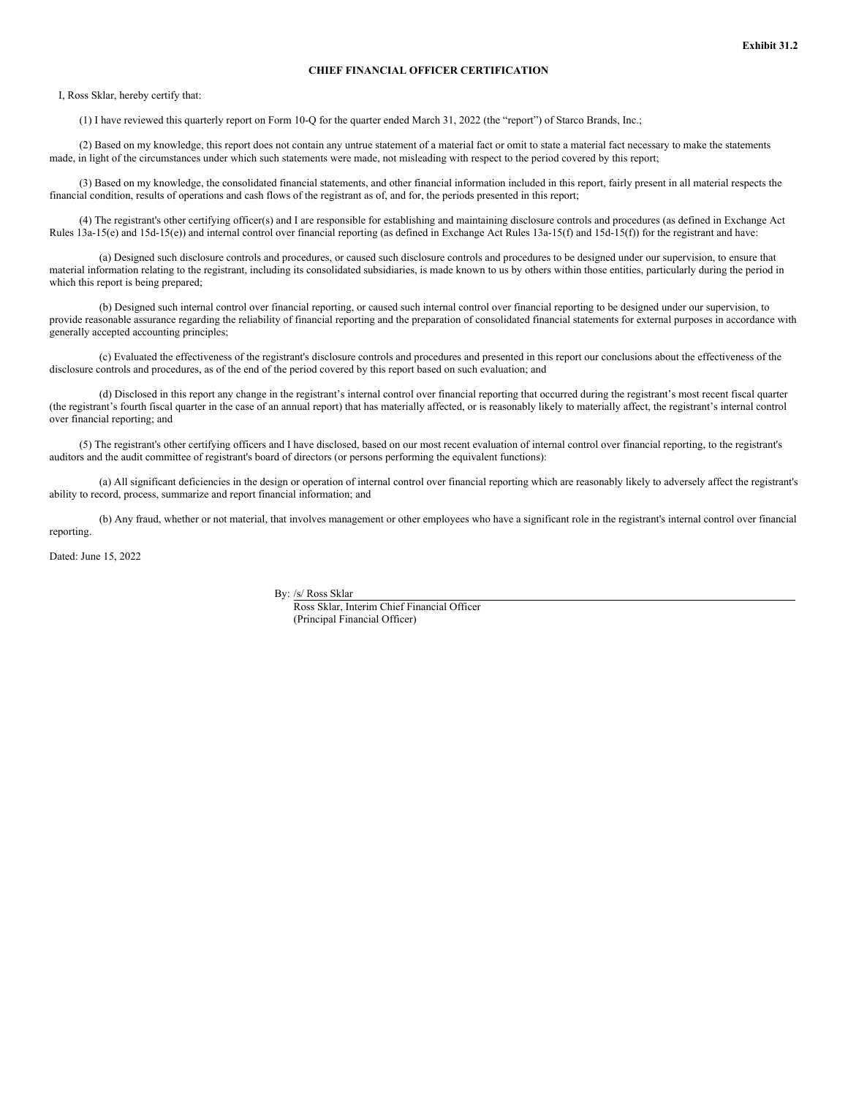# **CHIEF FINANCIAL OFFICER CERTIFICATION**

<span id="page-23-0"></span>I, Ross Sklar, hereby certify that:

(1) I have reviewed this quarterly report on Form 10-Q for the quarter ended March 31, 2022 (the "report") of Starco Brands, Inc.;

(2) Based on my knowledge, this report does not contain any untrue statement of a material fact or omit to state a material fact necessary to make the statements made, in light of the circumstances under which such statements were made, not misleading with respect to the period covered by this report;

(3) Based on my knowledge, the consolidated financial statements, and other financial information included in this report, fairly present in all material respects the financial condition, results of operations and cash flows of the registrant as of, and for, the periods presented in this report;

(4) The registrant's other certifying officer(s) and I are responsible for establishing and maintaining disclosure controls and procedures (as defined in Exchange Act Rules 13a-15(e) and 15d-15(e)) and internal control over financial reporting (as defined in Exchange Act Rules 13a-15(f) and 15d-15(f)) for the registrant and have:

(a) Designed such disclosure controls and procedures, or caused such disclosure controls and procedures to be designed under our supervision, to ensure that material information relating to the registrant, including its consolidated subsidiaries, is made known to us by others within those entities, particularly during the period in which this report is being prepared;

(b) Designed such internal control over financial reporting, or caused such internal control over financial reporting to be designed under our supervision, to provide reasonable assurance regarding the reliability of financial reporting and the preparation of consolidated financial statements for external purposes in accordance with generally accepted accounting principles;

(c) Evaluated the effectiveness of the registrant's disclosure controls and procedures and presented in this report our conclusions about the effectiveness of the disclosure controls and procedures, as of the end of the period covered by this report based on such evaluation; and

(d) Disclosed in this report any change in the registrant's internal control over financial reporting that occurred during the registrant's most recent fiscal quarter (the registrant's fourth fiscal quarter in the case of an annual report) that has materially affected, or is reasonably likely to materially affect, the registrant's internal control over financial reporting; and

(5) The registrant's other certifying officers and I have disclosed, based on our most recent evaluation of internal control over financial reporting, to the registrant's auditors and the audit committee of registrant's board of directors (or persons performing the equivalent functions):

(a) All significant deficiencies in the design or operation of internal control over financial reporting which are reasonably likely to adversely affect the registrant's ability to record, process, summarize and report financial information; and

(b) Any fraud, whether or not material, that involves management or other employees who have a significant role in the registrant's internal control over financial reporting.

Dated: June 15, 2022

By: /s/ Ross Sklar

Ross Sklar, Interim Chief Financial Officer (Principal Financial Officer)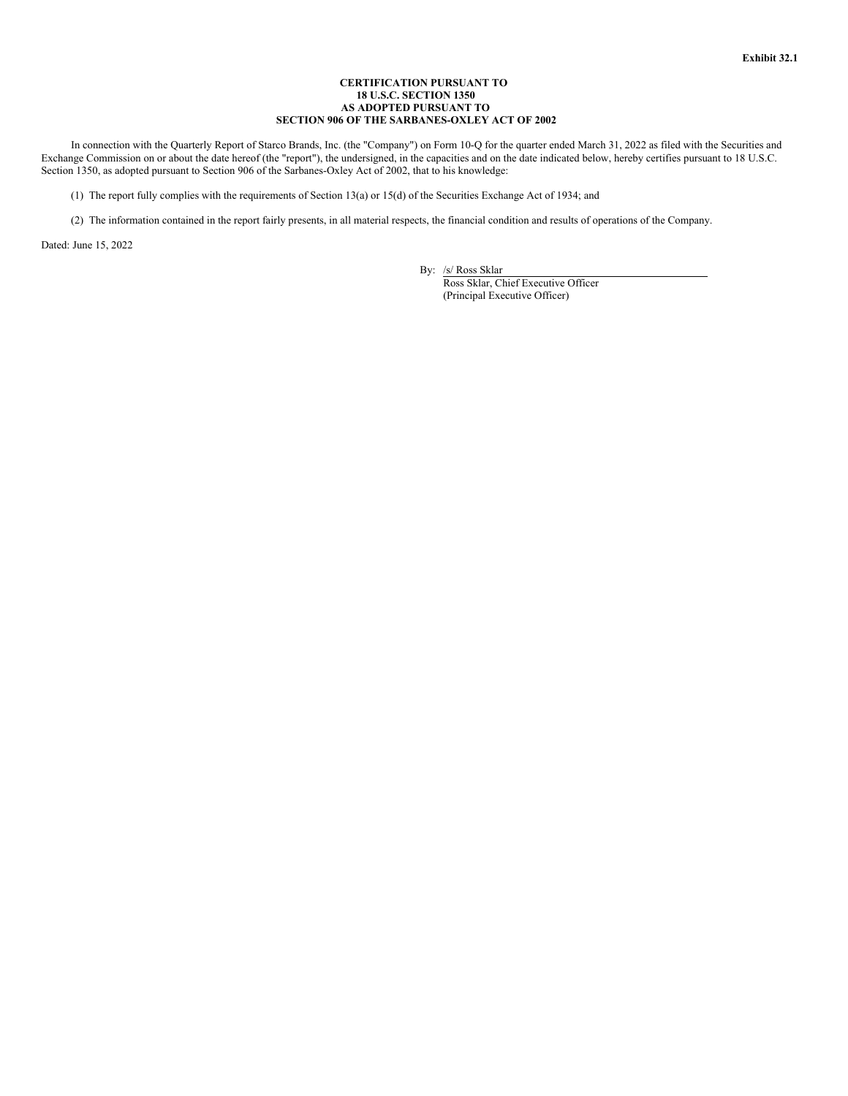### **CERTIFICATION PURSUANT TO 18 U.S.C. SECTION 1350 AS ADOPTED PURSUANT TO SECTION 906 OF THE SARBANES-OXLEY ACT OF 2002**

<span id="page-24-0"></span>In connection with the Quarterly Report of Starco Brands, Inc. (the "Company") on Form 10-Q for the quarter ended March 31, 2022 as filed with the Securities and Exchange Commission on or about the date hereof (the "report"), the undersigned, in the capacities and on the date indicated below, hereby certifies pursuant to 18 U.S.C. Section 1350, as adopted pursuant to Section 906 of the Sarbanes-Oxley Act of 2002, that to his knowledge:

(1) The report fully complies with the requirements of Section 13(a) or 15(d) of the Securities Exchange Act of 1934; and

(2) The information contained in the report fairly presents, in all material respects, the financial condition and results of operations of the Company.

Dated: June 15, 2022

By: /s/ Ross Sklar

Ross Sklar, Chief Executive Officer (Principal Executive Officer)